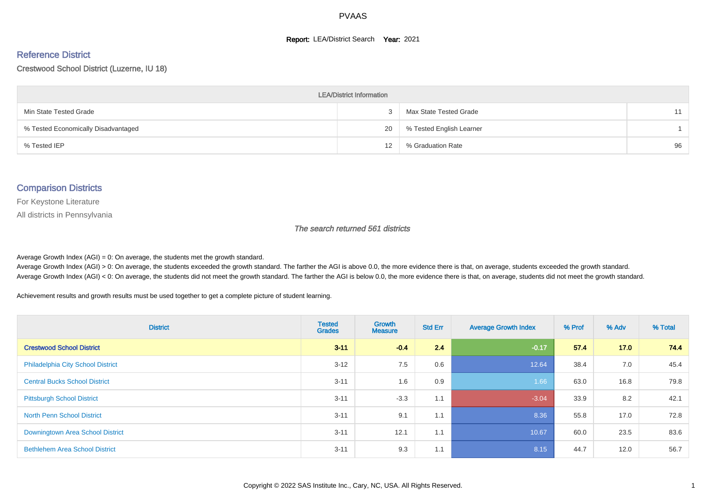#### **Report: LEA/District Search Year: 2021**

#### Reference District

#### Crestwood School District (Luzerne, IU 18)

| <b>LEA/District Information</b>     |                   |                          |    |  |  |  |  |  |  |  |
|-------------------------------------|-------------------|--------------------------|----|--|--|--|--|--|--|--|
| Min State Tested Grade              |                   | Max State Tested Grade   | 11 |  |  |  |  |  |  |  |
| % Tested Economically Disadvantaged | 20                | % Tested English Learner |    |  |  |  |  |  |  |  |
| % Tested IEP                        | $12 \overline{ }$ | % Graduation Rate        | 96 |  |  |  |  |  |  |  |

#### Comparison Districts

For Keystone Literature

All districts in Pennsylvania

The search returned 561 districts

Average Growth Index  $(AGI) = 0$ : On average, the students met the growth standard.

Average Growth Index (AGI) > 0: On average, the students exceeded the growth standard. The farther the AGI is above 0.0, the more evidence there is that, on average, students exceeded the growth standard. Average Growth Index (AGI) < 0: On average, the students did not meet the growth standard. The farther the AGI is below 0.0, the more evidence there is that, on average, students did not meet the growth standard.

Achievement results and growth results must be used together to get a complete picture of student learning.

| <b>District</b>                          | <b>Tested</b><br><b>Grades</b> | <b>Growth</b><br><b>Measure</b> | <b>Std Err</b> | <b>Average Growth Index</b> | % Prof | % Adv | % Total |
|------------------------------------------|--------------------------------|---------------------------------|----------------|-----------------------------|--------|-------|---------|
| <b>Crestwood School District</b>         | $3 - 11$                       | $-0.4$                          | 2.4            | $-0.17$                     | 57.4   | 17.0  | 74.4    |
| <b>Philadelphia City School District</b> | $3 - 12$                       | 7.5                             | 0.6            | 12.64                       | 38.4   | 7.0   | 45.4    |
| <b>Central Bucks School District</b>     | $3 - 11$                       | 1.6                             | 0.9            | 1.66                        | 63.0   | 16.8  | 79.8    |
| <b>Pittsburgh School District</b>        | $3 - 11$                       | $-3.3$                          | 1.1            | $-3.04$                     | 33.9   | 8.2   | 42.1    |
| <b>North Penn School District</b>        | $3 - 11$                       | 9.1                             | 1.1            | 8.36                        | 55.8   | 17.0  | 72.8    |
| Downingtown Area School District         | $3 - 11$                       | 12.1                            | 1.1            | 10.67                       | 60.0   | 23.5  | 83.6    |
| <b>Bethlehem Area School District</b>    | $3 - 11$                       | 9.3                             | 1.1            | 8.15                        | 44.7   | 12.0  | 56.7    |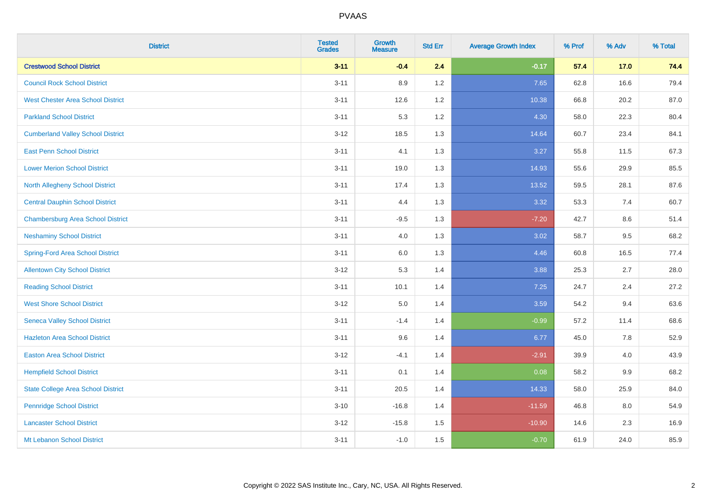| <b>District</b>                           | <b>Tested</b><br><b>Grades</b> | <b>Growth</b><br><b>Measure</b> | <b>Std Err</b> | <b>Average Growth Index</b> | % Prof | % Adv | % Total |
|-------------------------------------------|--------------------------------|---------------------------------|----------------|-----------------------------|--------|-------|---------|
| <b>Crestwood School District</b>          | $3 - 11$                       | $-0.4$                          | 2.4            | $-0.17$                     | 57.4   | 17.0  | 74.4    |
| <b>Council Rock School District</b>       | $3 - 11$                       | 8.9                             | 1.2            | 7.65                        | 62.8   | 16.6  | 79.4    |
| <b>West Chester Area School District</b>  | $3 - 11$                       | 12.6                            | 1.2            | 10.38                       | 66.8   | 20.2  | 87.0    |
| <b>Parkland School District</b>           | $3 - 11$                       | 5.3                             | 1.2            | 4.30                        | 58.0   | 22.3  | 80.4    |
| <b>Cumberland Valley School District</b>  | $3 - 12$                       | 18.5                            | 1.3            | 14.64                       | 60.7   | 23.4  | 84.1    |
| <b>East Penn School District</b>          | $3 - 11$                       | 4.1                             | 1.3            | 3.27                        | 55.8   | 11.5  | 67.3    |
| <b>Lower Merion School District</b>       | $3 - 11$                       | 19.0                            | 1.3            | 14.93                       | 55.6   | 29.9  | 85.5    |
| <b>North Allegheny School District</b>    | $3 - 11$                       | 17.4                            | 1.3            | 13.52                       | 59.5   | 28.1  | 87.6    |
| <b>Central Dauphin School District</b>    | $3 - 11$                       | 4.4                             | 1.3            | 3.32                        | 53.3   | 7.4   | 60.7    |
| <b>Chambersburg Area School District</b>  | $3 - 11$                       | $-9.5$                          | 1.3            | $-7.20$                     | 42.7   | 8.6   | 51.4    |
| <b>Neshaminy School District</b>          | $3 - 11$                       | 4.0                             | 1.3            | 3.02                        | 58.7   | 9.5   | 68.2    |
| <b>Spring-Ford Area School District</b>   | $3 - 11$                       | $6.0\,$                         | 1.3            | 4.46                        | 60.8   | 16.5  | 77.4    |
| <b>Allentown City School District</b>     | $3 - 12$                       | 5.3                             | 1.4            | 3.88                        | 25.3   | 2.7   | 28.0    |
| <b>Reading School District</b>            | $3 - 11$                       | 10.1                            | 1.4            | 7.25                        | 24.7   | 2.4   | 27.2    |
| <b>West Shore School District</b>         | $3 - 12$                       | $5.0\,$                         | 1.4            | 3.59                        | 54.2   | 9.4   | 63.6    |
| <b>Seneca Valley School District</b>      | $3 - 11$                       | $-1.4$                          | 1.4            | $-0.99$                     | 57.2   | 11.4  | 68.6    |
| <b>Hazleton Area School District</b>      | $3 - 11$                       | 9.6                             | 1.4            | 6.77                        | 45.0   | 7.8   | 52.9    |
| <b>Easton Area School District</b>        | $3 - 12$                       | $-4.1$                          | 1.4            | $-2.91$                     | 39.9   | 4.0   | 43.9    |
| <b>Hempfield School District</b>          | $3 - 11$                       | 0.1                             | 1.4            | 0.08                        | 58.2   | 9.9   | 68.2    |
| <b>State College Area School District</b> | $3 - 11$                       | 20.5                            | 1.4            | 14.33                       | 58.0   | 25.9  | 84.0    |
| <b>Pennridge School District</b>          | $3 - 10$                       | $-16.8$                         | 1.4            | $-11.59$                    | 46.8   | 8.0   | 54.9    |
| <b>Lancaster School District</b>          | $3 - 12$                       | $-15.8$                         | 1.5            | $-10.90$                    | 14.6   | 2.3   | 16.9    |
| Mt Lebanon School District                | $3 - 11$                       | $-1.0$                          | 1.5            | $-0.70$                     | 61.9   | 24.0  | 85.9    |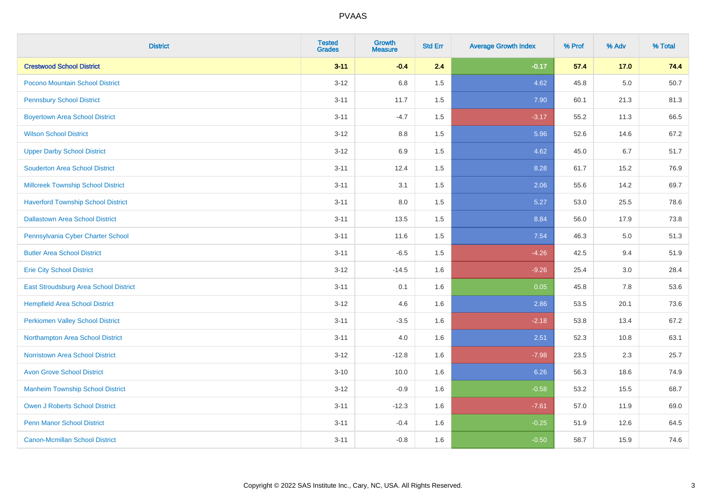| <b>District</b>                           | <b>Tested</b><br><b>Grades</b> | <b>Growth</b><br><b>Measure</b> | <b>Std Err</b> | <b>Average Growth Index</b> | % Prof | % Adv | % Total |
|-------------------------------------------|--------------------------------|---------------------------------|----------------|-----------------------------|--------|-------|---------|
| <b>Crestwood School District</b>          | $3 - 11$                       | $-0.4$                          | 2.4            | $-0.17$                     | 57.4   | 17.0  | 74.4    |
| Pocono Mountain School District           | $3 - 12$                       | 6.8                             | 1.5            | 4.62                        | 45.8   | 5.0   | 50.7    |
| <b>Pennsbury School District</b>          | $3 - 11$                       | 11.7                            | 1.5            | 7.90                        | 60.1   | 21.3  | 81.3    |
| <b>Boyertown Area School District</b>     | $3 - 11$                       | $-4.7$                          | 1.5            | $-3.17$                     | 55.2   | 11.3  | 66.5    |
| <b>Wilson School District</b>             | $3 - 12$                       | 8.8                             | 1.5            | 5.96                        | 52.6   | 14.6  | 67.2    |
| <b>Upper Darby School District</b>        | $3 - 12$                       | 6.9                             | 1.5            | 4.62                        | 45.0   | 6.7   | 51.7    |
| <b>Souderton Area School District</b>     | $3 - 11$                       | 12.4                            | 1.5            | 8.28                        | 61.7   | 15.2  | 76.9    |
| <b>Millcreek Township School District</b> | $3 - 11$                       | 3.1                             | 1.5            | 2.06                        | 55.6   | 14.2  | 69.7    |
| <b>Haverford Township School District</b> | $3 - 11$                       | 8.0                             | 1.5            | 5.27                        | 53.0   | 25.5  | 78.6    |
| <b>Dallastown Area School District</b>    | $3 - 11$                       | 13.5                            | 1.5            | 8.84                        | 56.0   | 17.9  | 73.8    |
| Pennsylvania Cyber Charter School         | $3 - 11$                       | 11.6                            | 1.5            | 7.54                        | 46.3   | 5.0   | 51.3    |
| <b>Butler Area School District</b>        | $3 - 11$                       | $-6.5$                          | 1.5            | $-4.26$                     | 42.5   | 9.4   | 51.9    |
| <b>Erie City School District</b>          | $3 - 12$                       | $-14.5$                         | 1.6            | $-9.26$                     | 25.4   | 3.0   | 28.4    |
| East Stroudsburg Area School District     | $3 - 11$                       | 0.1                             | 1.6            | 0.05                        | 45.8   | 7.8   | 53.6    |
| <b>Hempfield Area School District</b>     | $3 - 12$                       | 4.6                             | 1.6            | 2.86                        | 53.5   | 20.1  | 73.6    |
| <b>Perkiomen Valley School District</b>   | $3 - 11$                       | $-3.5$                          | 1.6            | $-2.18$                     | 53.8   | 13.4  | 67.2    |
| Northampton Area School District          | $3 - 11$                       | 4.0                             | 1.6            | 2.51                        | 52.3   | 10.8  | 63.1    |
| <b>Norristown Area School District</b>    | $3 - 12$                       | $-12.8$                         | 1.6            | $-7.98$                     | 23.5   | 2.3   | 25.7    |
| <b>Avon Grove School District</b>         | $3 - 10$                       | 10.0                            | 1.6            | 6.26                        | 56.3   | 18.6  | 74.9    |
| <b>Manheim Township School District</b>   | $3 - 12$                       | $-0.9$                          | 1.6            | $-0.58$                     | 53.2   | 15.5  | 68.7    |
| <b>Owen J Roberts School District</b>     | $3 - 11$                       | $-12.3$                         | 1.6            | $-7.61$                     | 57.0   | 11.9  | 69.0    |
| <b>Penn Manor School District</b>         | $3 - 11$                       | $-0.4$                          | 1.6            | $-0.25$                     | 51.9   | 12.6  | 64.5    |
| <b>Canon-Mcmillan School District</b>     | $3 - 11$                       | $-0.8$                          | 1.6            | $-0.50$                     | 58.7   | 15.9  | 74.6    |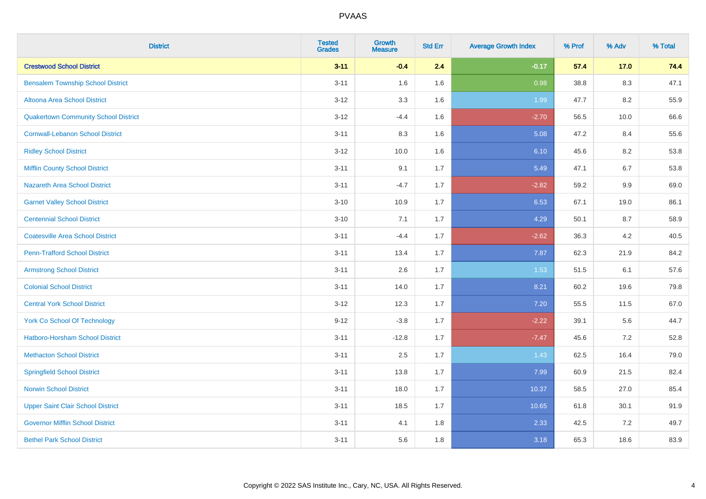| <b>District</b>                             | <b>Tested</b><br><b>Grades</b> | Growth<br><b>Measure</b> | <b>Std Err</b> | <b>Average Growth Index</b> | % Prof | % Adv   | % Total |
|---------------------------------------------|--------------------------------|--------------------------|----------------|-----------------------------|--------|---------|---------|
| <b>Crestwood School District</b>            | $3 - 11$                       | $-0.4$                   | 2.4            | $-0.17$                     | 57.4   | $17.0$  | 74.4    |
| <b>Bensalem Township School District</b>    | $3 - 11$                       | 1.6                      | 1.6            | 0.98                        | 38.8   | $8.3\,$ | 47.1    |
| Altoona Area School District                | $3 - 12$                       | 3.3                      | 1.6            | 1.99                        | 47.7   | 8.2     | 55.9    |
| <b>Quakertown Community School District</b> | $3 - 12$                       | $-4.4$                   | 1.6            | $-2.70$                     | 56.5   | 10.0    | 66.6    |
| <b>Cornwall-Lebanon School District</b>     | $3 - 11$                       | 8.3                      | 1.6            | 5.08                        | 47.2   | 8.4     | 55.6    |
| <b>Ridley School District</b>               | $3 - 12$                       | 10.0                     | 1.6            | 6.10                        | 45.6   | 8.2     | 53.8    |
| <b>Mifflin County School District</b>       | $3 - 11$                       | 9.1                      | 1.7            | 5.49                        | 47.1   | 6.7     | 53.8    |
| <b>Nazareth Area School District</b>        | $3 - 11$                       | $-4.7$                   | 1.7            | $-2.82$                     | 59.2   | 9.9     | 69.0    |
| <b>Garnet Valley School District</b>        | $3 - 10$                       | 10.9                     | 1.7            | 6.53                        | 67.1   | 19.0    | 86.1    |
| <b>Centennial School District</b>           | $3 - 10$                       | 7.1                      | 1.7            | 4.29                        | 50.1   | 8.7     | 58.9    |
| <b>Coatesville Area School District</b>     | $3 - 11$                       | $-4.4$                   | 1.7            | $-2.62$                     | 36.3   | 4.2     | 40.5    |
| <b>Penn-Trafford School District</b>        | $3 - 11$                       | 13.4                     | 1.7            | 7.87                        | 62.3   | 21.9    | 84.2    |
| <b>Armstrong School District</b>            | $3 - 11$                       | 2.6                      | 1.7            | 1.53                        | 51.5   | 6.1     | 57.6    |
| <b>Colonial School District</b>             | $3 - 11$                       | 14.0                     | 1.7            | 8.21                        | 60.2   | 19.6    | 79.8    |
| <b>Central York School District</b>         | $3 - 12$                       | 12.3                     | 1.7            | 7.20                        | 55.5   | 11.5    | 67.0    |
| <b>York Co School Of Technology</b>         | $9 - 12$                       | $-3.8$                   | 1.7            | $-2.22$                     | 39.1   | 5.6     | 44.7    |
| Hatboro-Horsham School District             | $3 - 11$                       | $-12.8$                  | 1.7            | $-7.47$                     | 45.6   | 7.2     | 52.8    |
| <b>Methacton School District</b>            | $3 - 11$                       | 2.5                      | 1.7            | 1.43                        | 62.5   | 16.4    | 79.0    |
| <b>Springfield School District</b>          | $3 - 11$                       | 13.8                     | 1.7            | 7.99                        | 60.9   | 21.5    | 82.4    |
| <b>Norwin School District</b>               | $3 - 11$                       | 18.0                     | 1.7            | 10.37                       | 58.5   | 27.0    | 85.4    |
| <b>Upper Saint Clair School District</b>    | $3 - 11$                       | 18.5                     | 1.7            | 10.65                       | 61.8   | 30.1    | 91.9    |
| <b>Governor Mifflin School District</b>     | $3 - 11$                       | 4.1                      | 1.8            | 2.33                        | 42.5   | 7.2     | 49.7    |
| <b>Bethel Park School District</b>          | $3 - 11$                       | 5.6                      | 1.8            | 3.18                        | 65.3   | 18.6    | 83.9    |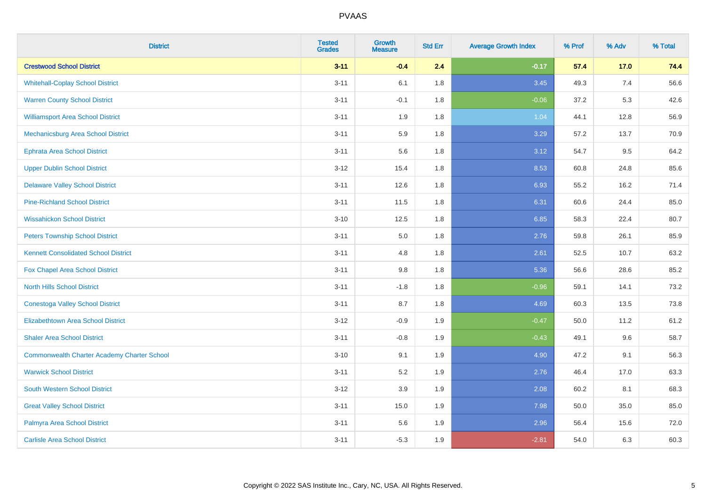| <b>District</b>                                    | <b>Tested</b><br><b>Grades</b> | Growth<br><b>Measure</b> | <b>Std Err</b> | <b>Average Growth Index</b> | % Prof | % Adv  | % Total |
|----------------------------------------------------|--------------------------------|--------------------------|----------------|-----------------------------|--------|--------|---------|
| <b>Crestwood School District</b>                   | $3 - 11$                       | $-0.4$                   | 2.4            | $-0.17$                     | 57.4   | $17.0$ | 74.4    |
| <b>Whitehall-Coplay School District</b>            | $3 - 11$                       | 6.1                      | 1.8            | 3.45                        | 49.3   | 7.4    | 56.6    |
| <b>Warren County School District</b>               | $3 - 11$                       | $-0.1$                   | 1.8            | $-0.06$                     | 37.2   | 5.3    | 42.6    |
| <b>Williamsport Area School District</b>           | $3 - 11$                       | 1.9                      | 1.8            | 1.04                        | 44.1   | 12.8   | 56.9    |
| Mechanicsburg Area School District                 | $3 - 11$                       | 5.9                      | 1.8            | 3.29                        | 57.2   | 13.7   | 70.9    |
| <b>Ephrata Area School District</b>                | $3 - 11$                       | 5.6                      | 1.8            | 3.12                        | 54.7   | 9.5    | 64.2    |
| <b>Upper Dublin School District</b>                | $3 - 12$                       | 15.4                     | 1.8            | 8.53                        | 60.8   | 24.8   | 85.6    |
| <b>Delaware Valley School District</b>             | $3 - 11$                       | 12.6                     | 1.8            | 6.93                        | 55.2   | 16.2   | 71.4    |
| <b>Pine-Richland School District</b>               | $3 - 11$                       | 11.5                     | 1.8            | 6.31                        | 60.6   | 24.4   | 85.0    |
| <b>Wissahickon School District</b>                 | $3 - 10$                       | 12.5                     | 1.8            | 6.85                        | 58.3   | 22.4   | 80.7    |
| <b>Peters Township School District</b>             | $3 - 11$                       | 5.0                      | 1.8            | 2.76                        | 59.8   | 26.1   | 85.9    |
| <b>Kennett Consolidated School District</b>        | $3 - 11$                       | 4.8                      | 1.8            | 2.61                        | 52.5   | 10.7   | 63.2    |
| Fox Chapel Area School District                    | $3 - 11$                       | 9.8                      | 1.8            | 5.36                        | 56.6   | 28.6   | 85.2    |
| <b>North Hills School District</b>                 | $3 - 11$                       | $-1.8$                   | 1.8            | $-0.96$                     | 59.1   | 14.1   | 73.2    |
| <b>Conestoga Valley School District</b>            | $3 - 11$                       | 8.7                      | 1.8            | 4.69                        | 60.3   | 13.5   | 73.8    |
| <b>Elizabethtown Area School District</b>          | $3 - 12$                       | $-0.9$                   | 1.9            | $-0.47$                     | 50.0   | 11.2   | 61.2    |
| <b>Shaler Area School District</b>                 | $3 - 11$                       | $-0.8$                   | 1.9            | $-0.43$                     | 49.1   | 9.6    | 58.7    |
| <b>Commonwealth Charter Academy Charter School</b> | $3 - 10$                       | 9.1                      | 1.9            | 4.90                        | 47.2   | 9.1    | 56.3    |
| <b>Warwick School District</b>                     | $3 - 11$                       | 5.2                      | 1.9            | 2.76                        | 46.4   | 17.0   | 63.3    |
| <b>South Western School District</b>               | $3-12$                         | 3.9                      | 1.9            | 2.08                        | 60.2   | 8.1    | 68.3    |
| <b>Great Valley School District</b>                | $3 - 11$                       | 15.0                     | 1.9            | 7.98                        | 50.0   | 35.0   | 85.0    |
| Palmyra Area School District                       | $3 - 11$                       | 5.6                      | 1.9            | 2.96                        | 56.4   | 15.6   | 72.0    |
| <b>Carlisle Area School District</b>               | $3 - 11$                       | $-5.3$                   | 1.9            | $-2.81$                     | 54.0   | 6.3    | 60.3    |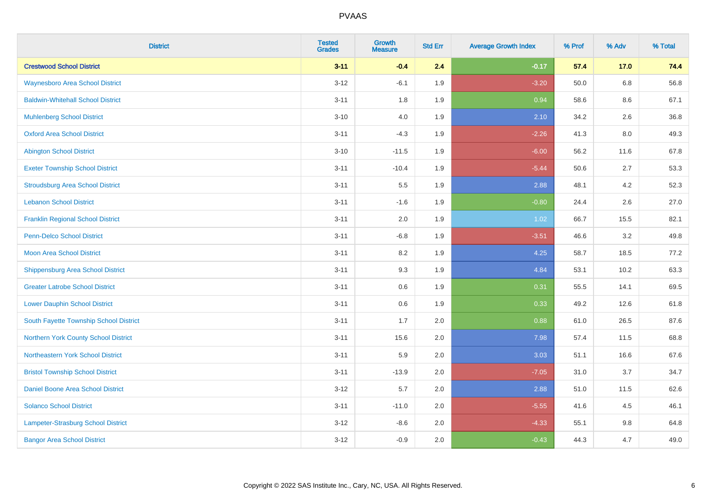| <b>District</b>                          | <b>Tested</b><br><b>Grades</b> | <b>Growth</b><br><b>Measure</b> | <b>Std Err</b> | <b>Average Growth Index</b> | % Prof | % Adv   | % Total |
|------------------------------------------|--------------------------------|---------------------------------|----------------|-----------------------------|--------|---------|---------|
| <b>Crestwood School District</b>         | $3 - 11$                       | $-0.4$                          | 2.4            | $-0.17$                     | 57.4   | 17.0    | 74.4    |
| <b>Waynesboro Area School District</b>   | $3 - 12$                       | $-6.1$                          | 1.9            | $-3.20$                     | 50.0   | $6.8\,$ | 56.8    |
| <b>Baldwin-Whitehall School District</b> | $3 - 11$                       | 1.8                             | 1.9            | 0.94                        | 58.6   | 8.6     | 67.1    |
| <b>Muhlenberg School District</b>        | $3 - 10$                       | 4.0                             | 1.9            | 2.10                        | 34.2   | 2.6     | 36.8    |
| <b>Oxford Area School District</b>       | $3 - 11$                       | $-4.3$                          | 1.9            | $-2.26$                     | 41.3   | 8.0     | 49.3    |
| <b>Abington School District</b>          | $3 - 10$                       | $-11.5$                         | 1.9            | $-6.00$                     | 56.2   | 11.6    | 67.8    |
| <b>Exeter Township School District</b>   | $3 - 11$                       | $-10.4$                         | 1.9            | $-5.44$                     | 50.6   | 2.7     | 53.3    |
| <b>Stroudsburg Area School District</b>  | $3 - 11$                       | 5.5                             | 1.9            | 2.88                        | 48.1   | 4.2     | 52.3    |
| <b>Lebanon School District</b>           | $3 - 11$                       | $-1.6$                          | 1.9            | $-0.80$                     | 24.4   | 2.6     | 27.0    |
| <b>Franklin Regional School District</b> | $3 - 11$                       | 2.0                             | 1.9            | 1.02                        | 66.7   | 15.5    | 82.1    |
| Penn-Delco School District               | $3 - 11$                       | $-6.8$                          | 1.9            | $-3.51$                     | 46.6   | 3.2     | 49.8    |
| <b>Moon Area School District</b>         | $3 - 11$                       | 8.2                             | 1.9            | 4.25                        | 58.7   | 18.5    | 77.2    |
| <b>Shippensburg Area School District</b> | $3 - 11$                       | 9.3                             | 1.9            | 4.84                        | 53.1   | 10.2    | 63.3    |
| <b>Greater Latrobe School District</b>   | $3 - 11$                       | 0.6                             | 1.9            | 0.31                        | 55.5   | 14.1    | 69.5    |
| <b>Lower Dauphin School District</b>     | $3 - 11$                       | $0.6\,$                         | 1.9            | 0.33                        | 49.2   | 12.6    | 61.8    |
| South Fayette Township School District   | $3 - 11$                       | 1.7                             | 2.0            | 0.88                        | 61.0   | 26.5    | 87.6    |
| Northern York County School District     | $3 - 11$                       | 15.6                            | 2.0            | 7.98                        | 57.4   | 11.5    | 68.8    |
| Northeastern York School District        | $3 - 11$                       | 5.9                             | 2.0            | 3.03                        | 51.1   | 16.6    | 67.6    |
| <b>Bristol Township School District</b>  | $3 - 11$                       | $-13.9$                         | 2.0            | $-7.05$                     | 31.0   | 3.7     | 34.7    |
| Daniel Boone Area School District        | $3 - 12$                       | 5.7                             | 2.0            | 2.88                        | 51.0   | 11.5    | 62.6    |
| <b>Solanco School District</b>           | $3 - 11$                       | $-11.0$                         | 2.0            | $-5.55$                     | 41.6   | 4.5     | 46.1    |
| Lampeter-Strasburg School District       | $3 - 12$                       | $-8.6$                          | 2.0            | $-4.33$                     | 55.1   | 9.8     | 64.8    |
| <b>Bangor Area School District</b>       | $3 - 12$                       | $-0.9$                          | 2.0            | $-0.43$                     | 44.3   | 4.7     | 49.0    |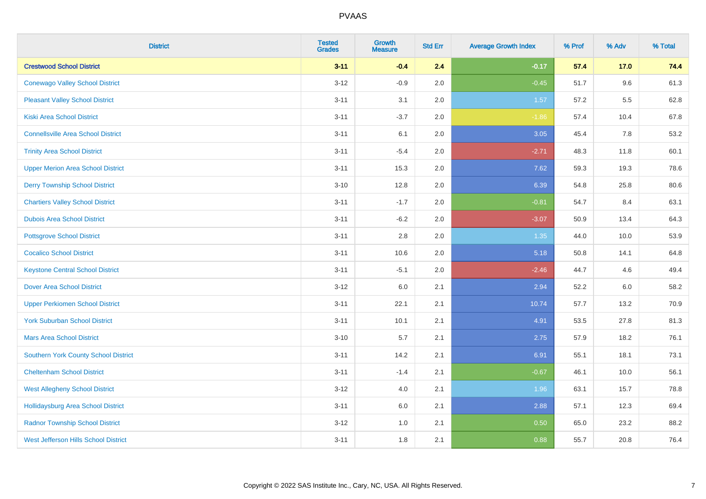| <b>District</b>                             | <b>Tested</b><br><b>Grades</b> | Growth<br><b>Measure</b> | <b>Std Err</b> | <b>Average Growth Index</b> | % Prof | % Adv  | % Total |
|---------------------------------------------|--------------------------------|--------------------------|----------------|-----------------------------|--------|--------|---------|
| <b>Crestwood School District</b>            | $3 - 11$                       | $-0.4$                   | 2.4            | $-0.17$                     | 57.4   | $17.0$ | 74.4    |
| <b>Conewago Valley School District</b>      | $3 - 12$                       | $-0.9$                   | 2.0            | $-0.45$                     | 51.7   | 9.6    | 61.3    |
| <b>Pleasant Valley School District</b>      | $3 - 11$                       | 3.1                      | 2.0            | 1.57                        | 57.2   | 5.5    | 62.8    |
| <b>Kiski Area School District</b>           | $3 - 11$                       | $-3.7$                   | 2.0            | $-1.86$                     | 57.4   | 10.4   | 67.8    |
| <b>Connellsville Area School District</b>   | $3 - 11$                       | 6.1                      | 2.0            | 3.05                        | 45.4   | 7.8    | 53.2    |
| <b>Trinity Area School District</b>         | $3 - 11$                       | $-5.4$                   | 2.0            | $-2.71$                     | 48.3   | 11.8   | 60.1    |
| <b>Upper Merion Area School District</b>    | $3 - 11$                       | 15.3                     | 2.0            | 7.62                        | 59.3   | 19.3   | 78.6    |
| <b>Derry Township School District</b>       | $3 - 10$                       | 12.8                     | 2.0            | 6.39                        | 54.8   | 25.8   | 80.6    |
| <b>Chartiers Valley School District</b>     | $3 - 11$                       | $-1.7$                   | 2.0            | $-0.81$                     | 54.7   | 8.4    | 63.1    |
| <b>Dubois Area School District</b>          | $3 - 11$                       | $-6.2$                   | 2.0            | $-3.07$                     | 50.9   | 13.4   | 64.3    |
| <b>Pottsgrove School District</b>           | $3 - 11$                       | 2.8                      | 2.0            | 1.35                        | 44.0   | 10.0   | 53.9    |
| <b>Cocalico School District</b>             | $3 - 11$                       | 10.6                     | 2.0            | 5.18                        | 50.8   | 14.1   | 64.8    |
| <b>Keystone Central School District</b>     | $3 - 11$                       | $-5.1$                   | 2.0            | $-2.46$                     | 44.7   | 4.6    | 49.4    |
| <b>Dover Area School District</b>           | $3-12$                         | 6.0                      | 2.1            | 2.94                        | 52.2   | 6.0    | 58.2    |
| <b>Upper Perkiomen School District</b>      | $3 - 11$                       | 22.1                     | 2.1            | 10.74                       | 57.7   | 13.2   | 70.9    |
| <b>York Suburban School District</b>        | $3 - 11$                       | 10.1                     | 2.1            | 4.91                        | 53.5   | 27.8   | 81.3    |
| <b>Mars Area School District</b>            | $3 - 10$                       | 5.7                      | 2.1            | 2.75                        | 57.9   | 18.2   | 76.1    |
| Southern York County School District        | $3 - 11$                       | 14.2                     | 2.1            | 6.91                        | 55.1   | 18.1   | 73.1    |
| <b>Cheltenham School District</b>           | $3 - 11$                       | $-1.4$                   | 2.1            | $-0.67$                     | 46.1   | 10.0   | 56.1    |
| <b>West Allegheny School District</b>       | $3-12$                         | 4.0                      | 2.1            | 1.96                        | 63.1   | 15.7   | 78.8    |
| <b>Hollidaysburg Area School District</b>   | $3 - 11$                       | 6.0                      | 2.1            | 2.88                        | 57.1   | 12.3   | 69.4    |
| <b>Radnor Township School District</b>      | $3 - 12$                       | 1.0                      | 2.1            | 0.50                        | 65.0   | 23.2   | 88.2    |
| <b>West Jefferson Hills School District</b> | $3 - 11$                       | 1.8                      | 2.1            | 0.88                        | 55.7   | 20.8   | 76.4    |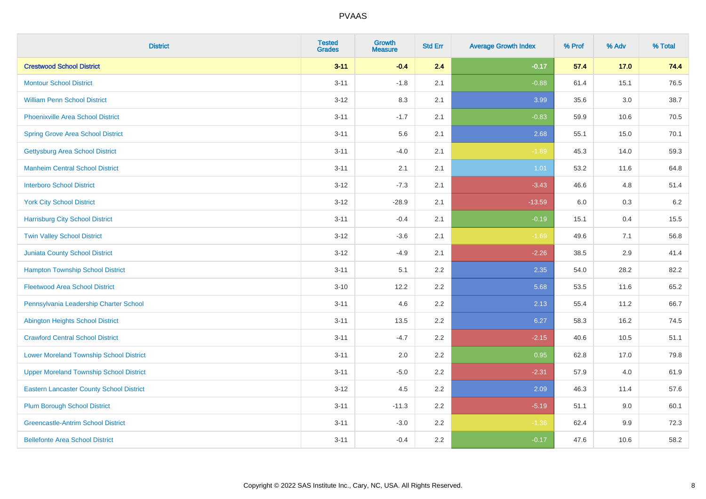| <b>District</b>                                 | <b>Tested</b><br><b>Grades</b> | <b>Growth</b><br><b>Measure</b> | <b>Std Err</b> | <b>Average Growth Index</b> | % Prof | % Adv   | % Total |
|-------------------------------------------------|--------------------------------|---------------------------------|----------------|-----------------------------|--------|---------|---------|
| <b>Crestwood School District</b>                | $3 - 11$                       | $-0.4$                          | 2.4            | $-0.17$                     | 57.4   | 17.0    | 74.4    |
| <b>Montour School District</b>                  | $3 - 11$                       | $-1.8$                          | 2.1            | $-0.88$                     | 61.4   | 15.1    | 76.5    |
| <b>William Penn School District</b>             | $3 - 12$                       | 8.3                             | 2.1            | 3.99                        | 35.6   | 3.0     | 38.7    |
| <b>Phoenixville Area School District</b>        | $3 - 11$                       | $-1.7$                          | 2.1            | $-0.83$                     | 59.9   | 10.6    | 70.5    |
| <b>Spring Grove Area School District</b>        | $3 - 11$                       | 5.6                             | 2.1            | 2.68                        | 55.1   | 15.0    | 70.1    |
| <b>Gettysburg Area School District</b>          | $3 - 11$                       | $-4.0$                          | 2.1            | $-1.89$                     | 45.3   | 14.0    | 59.3    |
| <b>Manheim Central School District</b>          | $3 - 11$                       | 2.1                             | 2.1            | 1.01                        | 53.2   | 11.6    | 64.8    |
| <b>Interboro School District</b>                | $3 - 12$                       | $-7.3$                          | 2.1            | $-3.43$                     | 46.6   | 4.8     | 51.4    |
| <b>York City School District</b>                | $3-12$                         | $-28.9$                         | 2.1            | $-13.59$                    | 6.0    | 0.3     | 6.2     |
| <b>Harrisburg City School District</b>          | $3 - 11$                       | $-0.4$                          | 2.1            | $-0.19$                     | 15.1   | 0.4     | 15.5    |
| <b>Twin Valley School District</b>              | $3 - 12$                       | $-3.6$                          | 2.1            | $-1.69$                     | 49.6   | 7.1     | 56.8    |
| <b>Juniata County School District</b>           | $3-12$                         | $-4.9$                          | 2.1            | $-2.26$                     | 38.5   | 2.9     | 41.4    |
| <b>Hampton Township School District</b>         | $3 - 11$                       | 5.1                             | 2.2            | 2.35                        | 54.0   | 28.2    | 82.2    |
| <b>Fleetwood Area School District</b>           | $3 - 10$                       | 12.2                            | 2.2            | 5.68                        | 53.5   | 11.6    | 65.2    |
| Pennsylvania Leadership Charter School          | $3 - 11$                       | 4.6                             | 2.2            | 2.13                        | 55.4   | 11.2    | 66.7    |
| <b>Abington Heights School District</b>         | $3 - 11$                       | 13.5                            | 2.2            | 6.27                        | 58.3   | 16.2    | 74.5    |
| <b>Crawford Central School District</b>         | $3 - 11$                       | $-4.7$                          | 2.2            | $-2.15$                     | 40.6   | 10.5    | 51.1    |
| <b>Lower Moreland Township School District</b>  | $3 - 11$                       | 2.0                             | 2.2            | 0.95                        | 62.8   | 17.0    | 79.8    |
| <b>Upper Moreland Township School District</b>  | $3 - 11$                       | $-5.0$                          | 2.2            | $-2.31$                     | 57.9   | 4.0     | 61.9    |
| <b>Eastern Lancaster County School District</b> | $3 - 12$                       | 4.5                             | 2.2            | 2.09                        | 46.3   | 11.4    | 57.6    |
| <b>Plum Borough School District</b>             | $3 - 11$                       | $-11.3$                         | 2.2            | $-5.19$                     | 51.1   | 9.0     | 60.1    |
| <b>Greencastle-Antrim School District</b>       | $3 - 11$                       | $-3.0$                          | 2.2            | $-1.36$                     | 62.4   | $9.9\,$ | 72.3    |
| <b>Bellefonte Area School District</b>          | $3 - 11$                       | $-0.4$                          | 2.2            | $-0.17$                     | 47.6   | 10.6    | 58.2    |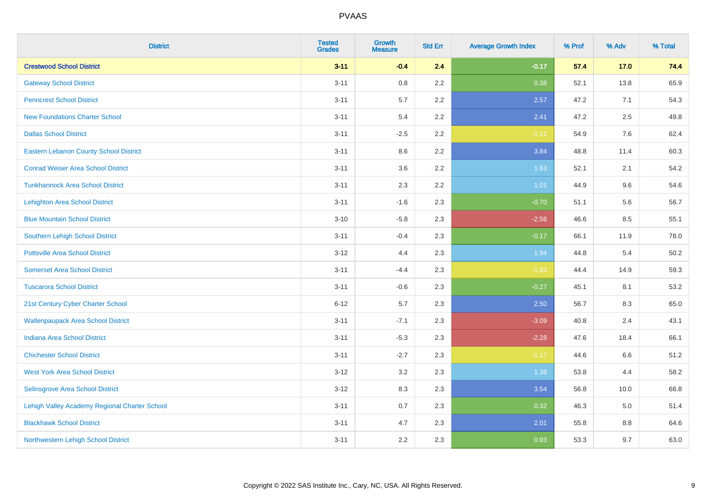| <b>District</b>                               | <b>Tested</b><br><b>Grades</b> | Growth<br><b>Measure</b> | <b>Std Err</b> | <b>Average Growth Index</b> | % Prof | % Adv  | % Total |
|-----------------------------------------------|--------------------------------|--------------------------|----------------|-----------------------------|--------|--------|---------|
| <b>Crestwood School District</b>              | $3 - 11$                       | $-0.4$                   | 2.4            | $-0.17$                     | 57.4   | $17.0$ | 74.4    |
| <b>Gateway School District</b>                | $3 - 11$                       | 0.8                      | 2.2            | 0.38                        | 52.1   | 13.8   | 65.9    |
| <b>Penncrest School District</b>              | $3 - 11$                       | 5.7                      | 2.2            | 2.57                        | 47.2   | 7.1    | 54.3    |
| <b>New Foundations Charter School</b>         | $3 - 11$                       | 5.4                      | 2.2            | 2.41                        | 47.2   | 2.5    | 49.8    |
| <b>Dallas School District</b>                 | $3 - 11$                       | $-2.5$                   | 2.2            | $-1.12$                     | 54.9   | 7.6    | 62.4    |
| <b>Eastern Lebanon County School District</b> | $3 - 11$                       | 8.6                      | 2.2            | 3.84                        | 48.8   | 11.4   | 60.3    |
| <b>Conrad Weiser Area School District</b>     | $3 - 11$                       | 3.6                      | 2.2            | 1.63                        | 52.1   | 2.1    | 54.2    |
| <b>Tunkhannock Area School District</b>       | $3 - 11$                       | 2.3                      | 2.2            | 1.01                        | 44.9   | 9.6    | 54.6    |
| <b>Lehighton Area School District</b>         | $3 - 11$                       | $-1.6$                   | 2.3            | $-0.70$                     | 51.1   | 5.6    | 56.7    |
| <b>Blue Mountain School District</b>          | $3 - 10$                       | $-5.8$                   | 2.3            | $-2.56$                     | 46.6   | 8.5    | 55.1    |
| Southern Lehigh School District               | $3 - 11$                       | $-0.4$                   | 2.3            | $-0.17$                     | 66.1   | 11.9   | 78.0    |
| <b>Pottsville Area School District</b>        | $3 - 12$                       | 4.4                      | 2.3            | 1.94                        | 44.8   | 5.4    | 50.2    |
| <b>Somerset Area School District</b>          | $3 - 11$                       | $-4.4$                   | 2.3            | $-1.93$                     | 44.4   | 14.9   | 59.3    |
| <b>Tuscarora School District</b>              | $3 - 11$                       | $-0.6$                   | 2.3            | $-0.27$                     | 45.1   | 8.1    | 53.2    |
| 21st Century Cyber Charter School             | $6 - 12$                       | 5.7                      | 2.3            | 2.50                        | 56.7   | 8.3    | 65.0    |
| <b>Wallenpaupack Area School District</b>     | $3 - 11$                       | $-7.1$                   | 2.3            | $-3.09$                     | 40.8   | 2.4    | 43.1    |
| <b>Indiana Area School District</b>           | $3 - 11$                       | $-5.3$                   | 2.3            | $-2.28$                     | 47.6   | 18.4   | 66.1    |
| <b>Chichester School District</b>             | $3 - 11$                       | $-2.7$                   | 2.3            | $-1.17$                     | 44.6   | 6.6    | 51.2    |
| <b>West York Area School District</b>         | $3 - 12$                       | 3.2                      | 2.3            | 1.38                        | 53.8   | 4.4    | 58.2    |
| Selinsgrove Area School District              | $3 - 12$                       | 8.3                      | 2.3            | 3.54                        | 56.8   | 10.0   | 66.8    |
| Lehigh Valley Academy Regional Charter School | $3 - 11$                       | 0.7                      | 2.3            | 0.32                        | 46.3   | 5.0    | 51.4    |
| <b>Blackhawk School District</b>              | $3 - 11$                       | 4.7                      | 2.3            | 2.01                        | 55.8   | 8.8    | 64.6    |
| Northwestern Lehigh School District           | $3 - 11$                       | 2.2                      | 2.3            | 0.93                        | 53.3   | 9.7    | 63.0    |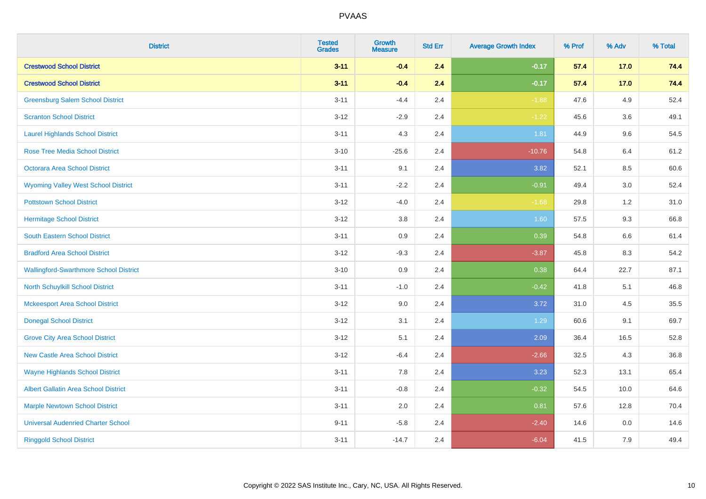| <b>District</b>                               | <b>Tested</b><br><b>Grades</b> | Growth<br><b>Measure</b> | <b>Std Err</b> | <b>Average Growth Index</b> | % Prof | % Adv   | % Total |
|-----------------------------------------------|--------------------------------|--------------------------|----------------|-----------------------------|--------|---------|---------|
| <b>Crestwood School District</b>              | $3 - 11$                       | $-0.4$                   | 2.4            | $-0.17$                     | 57.4   | 17.0    | 74.4    |
| <b>Crestwood School District</b>              | $3 - 11$                       | $-0.4$                   | 2.4            | $-0.17$                     | 57.4   | 17.0    | 74.4    |
| <b>Greensburg Salem School District</b>       | $3 - 11$                       | $-4.4$                   | 2.4            | $-1.88$                     | 47.6   | 4.9     | 52.4    |
| <b>Scranton School District</b>               | $3 - 12$                       | $-2.9$                   | 2.4            | $-1.22$                     | 45.6   | 3.6     | 49.1    |
| <b>Laurel Highlands School District</b>       | $3 - 11$                       | 4.3                      | 2.4            | 1.81                        | 44.9   | 9.6     | 54.5    |
| <b>Rose Tree Media School District</b>        | $3 - 10$                       | $-25.6$                  | 2.4            | $-10.76$                    | 54.8   | 6.4     | 61.2    |
| Octorara Area School District                 | $3 - 11$                       | 9.1                      | 2.4            | 3.82                        | 52.1   | 8.5     | 60.6    |
| <b>Wyoming Valley West School District</b>    | $3 - 11$                       | $-2.2$                   | 2.4            | $-0.91$                     | 49.4   | 3.0     | 52.4    |
| <b>Pottstown School District</b>              | $3 - 12$                       | $-4.0$                   | 2.4            | $-1.68$                     | 29.8   | 1.2     | 31.0    |
| <b>Hermitage School District</b>              | $3 - 12$                       | 3.8                      | 2.4            | 1.60                        | 57.5   | 9.3     | 66.8    |
| South Eastern School District                 | $3 - 11$                       | 0.9                      | 2.4            | 0.39                        | 54.8   | 6.6     | 61.4    |
| <b>Bradford Area School District</b>          | $3-12$                         | $-9.3$                   | 2.4            | $-3.87$                     | 45.8   | 8.3     | 54.2    |
| <b>Wallingford-Swarthmore School District</b> | $3 - 10$                       | 0.9                      | 2.4            | 0.38                        | 64.4   | 22.7    | 87.1    |
| <b>North Schuylkill School District</b>       | $3 - 11$                       | $-1.0$                   | 2.4            | $-0.42$                     | 41.8   | 5.1     | 46.8    |
| <b>Mckeesport Area School District</b>        | $3 - 12$                       | 9.0                      | 2.4            | 3.72                        | 31.0   | 4.5     | 35.5    |
| <b>Donegal School District</b>                | $3 - 12$                       | 3.1                      | 2.4            | 1.29                        | 60.6   | 9.1     | 69.7    |
| <b>Grove City Area School District</b>        | $3 - 12$                       | 5.1                      | 2.4            | 2.09                        | 36.4   | 16.5    | 52.8    |
| <b>New Castle Area School District</b>        | $3 - 12$                       | $-6.4$                   | 2.4            | $-2.66$                     | 32.5   | 4.3     | 36.8    |
| <b>Wayne Highlands School District</b>        | $3 - 11$                       | 7.8                      | 2.4            | 3.23                        | 52.3   | 13.1    | 65.4    |
| Albert Gallatin Area School District          | $3 - 11$                       | $-0.8$                   | 2.4            | $-0.32$                     | 54.5   | 10.0    | 64.6    |
| <b>Marple Newtown School District</b>         | $3 - 11$                       | 2.0                      | 2.4            | 0.81                        | 57.6   | 12.8    | 70.4    |
| <b>Universal Audenried Charter School</b>     | $9 - 11$                       | $-5.8$                   | 2.4            | $-2.40$                     | 14.6   | $0.0\,$ | 14.6    |
| <b>Ringgold School District</b>               | $3 - 11$                       | $-14.7$                  | 2.4            | $-6.04$                     | 41.5   | 7.9     | 49.4    |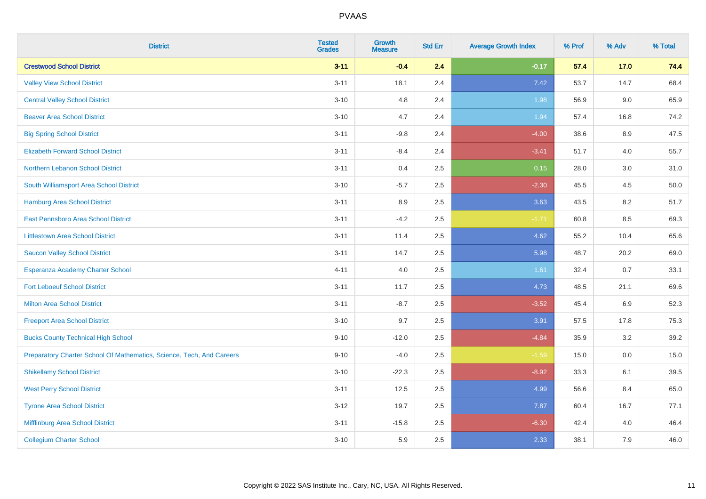| <b>District</b>                                                       | <b>Tested</b><br><b>Grades</b> | Growth<br><b>Measure</b> | <b>Std Err</b> | <b>Average Growth Index</b> | % Prof | % Adv  | % Total |
|-----------------------------------------------------------------------|--------------------------------|--------------------------|----------------|-----------------------------|--------|--------|---------|
| <b>Crestwood School District</b>                                      | $3 - 11$                       | $-0.4$                   | 2.4            | $-0.17$                     | 57.4   | $17.0$ | 74.4    |
| <b>Valley View School District</b>                                    | $3 - 11$                       | 18.1                     | 2.4            | 7.42                        | 53.7   | 14.7   | 68.4    |
| <b>Central Valley School District</b>                                 | $3 - 10$                       | 4.8                      | 2.4            | 1.98                        | 56.9   | 9.0    | 65.9    |
| <b>Beaver Area School District</b>                                    | $3 - 10$                       | 4.7                      | 2.4            | 1.94                        | 57.4   | 16.8   | 74.2    |
| <b>Big Spring School District</b>                                     | $3 - 11$                       | $-9.8$                   | 2.4            | $-4.00$                     | 38.6   | 8.9    | 47.5    |
| <b>Elizabeth Forward School District</b>                              | $3 - 11$                       | $-8.4$                   | 2.4            | $-3.41$                     | 51.7   | 4.0    | 55.7    |
| Northern Lebanon School District                                      | $3 - 11$                       | 0.4                      | 2.5            | 0.15                        | 28.0   | 3.0    | 31.0    |
| South Williamsport Area School District                               | $3 - 10$                       | $-5.7$                   | 2.5            | $-2.30$                     | 45.5   | 4.5    | 50.0    |
| <b>Hamburg Area School District</b>                                   | $3 - 11$                       | 8.9                      | 2.5            | 3.63                        | 43.5   | 8.2    | 51.7    |
| East Pennsboro Area School District                                   | $3 - 11$                       | $-4.2$                   | 2.5            | $-1.71$                     | 60.8   | 8.5    | 69.3    |
| <b>Littlestown Area School District</b>                               | $3 - 11$                       | 11.4                     | 2.5            | 4.62                        | 55.2   | 10.4   | 65.6    |
| <b>Saucon Valley School District</b>                                  | $3 - 11$                       | 14.7                     | 2.5            | 5.98                        | 48.7   | 20.2   | 69.0    |
| Esperanza Academy Charter School                                      | $4 - 11$                       | 4.0                      | 2.5            | 1.61                        | 32.4   | 0.7    | 33.1    |
| <b>Fort Leboeuf School District</b>                                   | $3 - 11$                       | 11.7                     | 2.5            | 4.73                        | 48.5   | 21.1   | 69.6    |
| <b>Milton Area School District</b>                                    | $3 - 11$                       | $-8.7$                   | 2.5            | $-3.52$                     | 45.4   | 6.9    | 52.3    |
| <b>Freeport Area School District</b>                                  | $3 - 10$                       | 9.7                      | 2.5            | 3.91                        | 57.5   | 17.8   | 75.3    |
| <b>Bucks County Technical High School</b>                             | $9 - 10$                       | $-12.0$                  | 2.5            | $-4.84$                     | 35.9   | 3.2    | 39.2    |
| Preparatory Charter School Of Mathematics, Science, Tech, And Careers | $9 - 10$                       | $-4.0$                   | 2.5            | $-1.59$                     | 15.0   | 0.0    | 15.0    |
| <b>Shikellamy School District</b>                                     | $3 - 10$                       | $-22.3$                  | 2.5            | $-8.92$                     | 33.3   | 6.1    | 39.5    |
| <b>West Perry School District</b>                                     | $3 - 11$                       | 12.5                     | 2.5            | 4.99                        | 56.6   | 8.4    | 65.0    |
| <b>Tyrone Area School District</b>                                    | $3 - 12$                       | 19.7                     | 2.5            | 7.87                        | 60.4   | 16.7   | 77.1    |
| Mifflinburg Area School District                                      | $3 - 11$                       | $-15.8$                  | 2.5            | $-6.30$                     | 42.4   | 4.0    | 46.4    |
| <b>Collegium Charter School</b>                                       | $3 - 10$                       | 5.9                      | 2.5            | 2.33                        | 38.1   | 7.9    | 46.0    |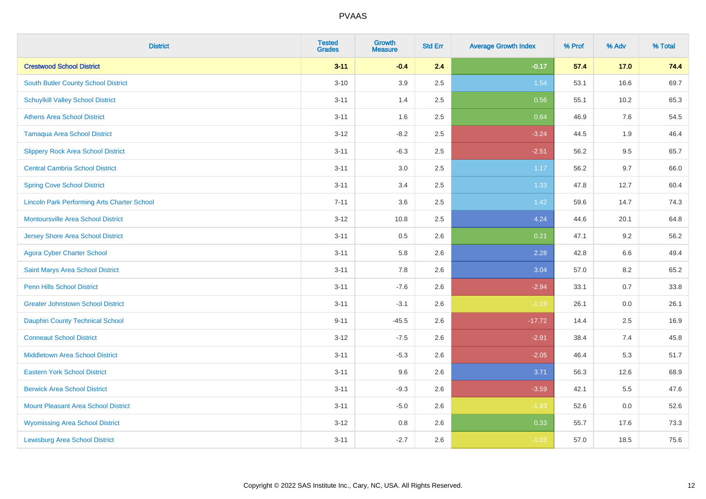| <b>District</b>                                    | <b>Tested</b><br><b>Grades</b> | <b>Growth</b><br><b>Measure</b> | <b>Std Err</b> | <b>Average Growth Index</b> | % Prof | % Adv   | % Total |
|----------------------------------------------------|--------------------------------|---------------------------------|----------------|-----------------------------|--------|---------|---------|
| <b>Crestwood School District</b>                   | $3 - 11$                       | $-0.4$                          | 2.4            | $-0.17$                     | 57.4   | 17.0    | 74.4    |
| <b>South Butler County School District</b>         | $3 - 10$                       | 3.9                             | 2.5            | 1.54                        | 53.1   | 16.6    | 69.7    |
| <b>Schuylkill Valley School District</b>           | $3 - 11$                       | 1.4                             | 2.5            | 0.56                        | 55.1   | 10.2    | 65.3    |
| <b>Athens Area School District</b>                 | $3 - 11$                       | 1.6                             | 2.5            | 0.64                        | 46.9   | 7.6     | 54.5    |
| <b>Tamaqua Area School District</b>                | $3-12$                         | $-8.2$                          | 2.5            | $-3.24$                     | 44.5   | 1.9     | 46.4    |
| <b>Slippery Rock Area School District</b>          | $3 - 11$                       | $-6.3$                          | 2.5            | $-2.51$                     | 56.2   | 9.5     | 65.7    |
| <b>Central Cambria School District</b>             | $3 - 11$                       | 3.0                             | 2.5            | 1.17                        | 56.2   | 9.7     | 66.0    |
| <b>Spring Cove School District</b>                 | $3 - 11$                       | 3.4                             | 2.5            | 1.33                        | 47.8   | 12.7    | 60.4    |
| <b>Lincoln Park Performing Arts Charter School</b> | $7 - 11$                       | 3.6                             | 2.5            | 1.42                        | 59.6   | 14.7    | 74.3    |
| <b>Montoursville Area School District</b>          | $3 - 12$                       | 10.8                            | 2.5            | 4.24                        | 44.6   | 20.1    | 64.8    |
| <b>Jersey Shore Area School District</b>           | $3 - 11$                       | $0.5\,$                         | 2.6            | 0.21                        | 47.1   | 9.2     | 56.2    |
| <b>Agora Cyber Charter School</b>                  | $3 - 11$                       | 5.8                             | 2.6            | 2.28                        | 42.8   | 6.6     | 49.4    |
| Saint Marys Area School District                   | $3 - 11$                       | 7.8                             | 2.6            | 3.04                        | 57.0   | 8.2     | 65.2    |
| <b>Penn Hills School District</b>                  | $3 - 11$                       | $-7.6$                          | 2.6            | $-2.94$                     | 33.1   | 0.7     | 33.8    |
| <b>Greater Johnstown School District</b>           | $3 - 11$                       | $-3.1$                          | 2.6            | $-1.19$                     | 26.1   | 0.0     | 26.1    |
| <b>Dauphin County Technical School</b>             | $9 - 11$                       | $-45.5$                         | 2.6            | $-17.72$                    | 14.4   | $2.5\,$ | 16.9    |
| <b>Conneaut School District</b>                    | $3 - 12$                       | $-7.5$                          | 2.6            | $-2.91$                     | 38.4   | 7.4     | 45.8    |
| <b>Middletown Area School District</b>             | $3 - 11$                       | $-5.3$                          | 2.6            | $-2.05$                     | 46.4   | 5.3     | 51.7    |
| <b>Eastern York School District</b>                | $3 - 11$                       | 9.6                             | 2.6            | 3.71                        | 56.3   | 12.6    | 68.9    |
| <b>Berwick Area School District</b>                | $3 - 11$                       | $-9.3$                          | 2.6            | $-3.59$                     | 42.1   | 5.5     | 47.6    |
| <b>Mount Pleasant Area School District</b>         | $3 - 11$                       | $-5.0$                          | 2.6            | $-1.93$                     | 52.6   | 0.0     | 52.6    |
| <b>Wyomissing Area School District</b>             | $3 - 12$                       | $0.8\,$                         | 2.6            | 0.33                        | 55.7   | 17.6    | 73.3    |
| <b>Lewisburg Area School District</b>              | $3 - 11$                       | $-2.7$                          | 2.6            | $-1.03$                     | 57.0   | 18.5    | 75.6    |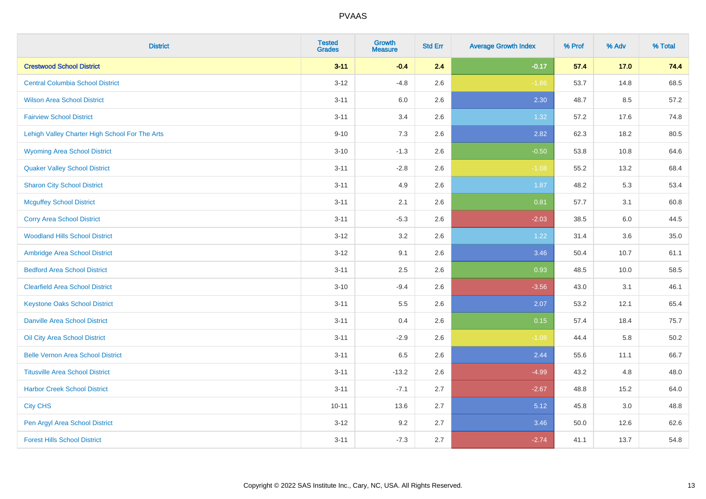| <b>District</b>                                | <b>Tested</b><br><b>Grades</b> | <b>Growth</b><br><b>Measure</b> | <b>Std Err</b> | <b>Average Growth Index</b> | % Prof | % Adv | % Total |
|------------------------------------------------|--------------------------------|---------------------------------|----------------|-----------------------------|--------|-------|---------|
| <b>Crestwood School District</b>               | $3 - 11$                       | $-0.4$                          | 2.4            | $-0.17$                     | 57.4   | 17.0  | 74.4    |
| <b>Central Columbia School District</b>        | $3 - 12$                       | $-4.8$                          | 2.6            | $-1.86$                     | 53.7   | 14.8  | 68.5    |
| <b>Wilson Area School District</b>             | $3 - 11$                       | 6.0                             | 2.6            | 2.30                        | 48.7   | 8.5   | 57.2    |
| <b>Fairview School District</b>                | $3 - 11$                       | 3.4                             | 2.6            | 1.32                        | 57.2   | 17.6  | 74.8    |
| Lehigh Valley Charter High School For The Arts | $9 - 10$                       | 7.3                             | 2.6            | 2.82                        | 62.3   | 18.2  | 80.5    |
| <b>Wyoming Area School District</b>            | $3 - 10$                       | $-1.3$                          | 2.6            | $-0.50$                     | 53.8   | 10.8  | 64.6    |
| <b>Quaker Valley School District</b>           | $3 - 11$                       | $-2.8$                          | 2.6            | $-1.08$                     | 55.2   | 13.2  | 68.4    |
| <b>Sharon City School District</b>             | $3 - 11$                       | 4.9                             | 2.6            | 1.87                        | 48.2   | 5.3   | 53.4    |
| <b>Mcguffey School District</b>                | $3 - 11$                       | 2.1                             | 2.6            | 0.81                        | 57.7   | 3.1   | 60.8    |
| <b>Corry Area School District</b>              | $3 - 11$                       | $-5.3$                          | 2.6            | $-2.03$                     | 38.5   | 6.0   | 44.5    |
| <b>Woodland Hills School District</b>          | $3 - 12$                       | 3.2                             | 2.6            | 1.22                        | 31.4   | 3.6   | 35.0    |
| Ambridge Area School District                  | $3-12$                         | 9.1                             | 2.6            | 3.46                        | 50.4   | 10.7  | 61.1    |
| <b>Bedford Area School District</b>            | $3 - 11$                       | 2.5                             | 2.6            | 0.93                        | 48.5   | 10.0  | 58.5    |
| <b>Clearfield Area School District</b>         | $3 - 10$                       | $-9.4$                          | 2.6            | $-3.56$                     | 43.0   | 3.1   | 46.1    |
| <b>Keystone Oaks School District</b>           | $3 - 11$                       | 5.5                             | 2.6            | 2.07                        | 53.2   | 12.1  | 65.4    |
| <b>Danville Area School District</b>           | $3 - 11$                       | 0.4                             | 2.6            | 0.15                        | 57.4   | 18.4  | 75.7    |
| Oil City Area School District                  | $3 - 11$                       | $-2.9$                          | 2.6            | $-1.08$                     | 44.4   | 5.8   | 50.2    |
| <b>Belle Vernon Area School District</b>       | $3 - 11$                       | 6.5                             | 2.6            | 2.44                        | 55.6   | 11.1  | 66.7    |
| <b>Titusville Area School District</b>         | $3 - 11$                       | $-13.2$                         | 2.6            | $-4.99$                     | 43.2   | 4.8   | 48.0    |
| <b>Harbor Creek School District</b>            | $3 - 11$                       | $-7.1$                          | 2.7            | $-2.67$                     | 48.8   | 15.2  | 64.0    |
| <b>City CHS</b>                                | $10 - 11$                      | 13.6                            | 2.7            | 5.12                        | 45.8   | 3.0   | 48.8    |
| Pen Argyl Area School District                 | $3 - 12$                       | 9.2                             | 2.7            | 3.46                        | 50.0   | 12.6  | 62.6    |
| <b>Forest Hills School District</b>            | $3 - 11$                       | $-7.3$                          | 2.7            | $-2.74$                     | 41.1   | 13.7  | 54.8    |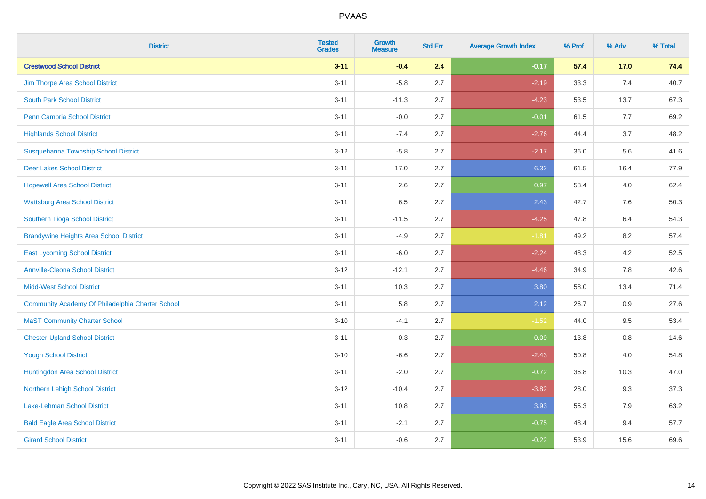| <b>District</b>                                  | <b>Tested</b><br><b>Grades</b> | <b>Growth</b><br><b>Measure</b> | <b>Std Err</b> | <b>Average Growth Index</b> | % Prof | % Adv | % Total |
|--------------------------------------------------|--------------------------------|---------------------------------|----------------|-----------------------------|--------|-------|---------|
| <b>Crestwood School District</b>                 | $3 - 11$                       | $-0.4$                          | 2.4            | $-0.17$                     | 57.4   | 17.0  | 74.4    |
| Jim Thorpe Area School District                  | $3 - 11$                       | $-5.8$                          | 2.7            | $-2.19$                     | 33.3   | 7.4   | 40.7    |
| <b>South Park School District</b>                | $3 - 11$                       | $-11.3$                         | 2.7            | $-4.23$                     | 53.5   | 13.7  | 67.3    |
| Penn Cambria School District                     | $3 - 11$                       | $-0.0$                          | 2.7            | $-0.01$                     | 61.5   | 7.7   | 69.2    |
| <b>Highlands School District</b>                 | $3 - 11$                       | $-7.4$                          | 2.7            | $-2.76$                     | 44.4   | 3.7   | 48.2    |
| Susquehanna Township School District             | $3 - 12$                       | $-5.8$                          | 2.7            | $-2.17$                     | 36.0   | 5.6   | 41.6    |
| <b>Deer Lakes School District</b>                | $3 - 11$                       | 17.0                            | 2.7            | 6.32                        | 61.5   | 16.4  | 77.9    |
| <b>Hopewell Area School District</b>             | $3 - 11$                       | 2.6                             | 2.7            | 0.97                        | 58.4   | 4.0   | 62.4    |
| <b>Wattsburg Area School District</b>            | $3 - 11$                       | 6.5                             | 2.7            | 2.43                        | 42.7   | 7.6   | 50.3    |
| Southern Tioga School District                   | $3 - 11$                       | $-11.5$                         | 2.7            | $-4.25$                     | 47.8   | 6.4   | 54.3    |
| <b>Brandywine Heights Area School District</b>   | $3 - 11$                       | $-4.9$                          | 2.7            | $-1.81$                     | 49.2   | 8.2   | 57.4    |
| <b>East Lycoming School District</b>             | $3 - 11$                       | $-6.0$                          | 2.7            | $-2.24$                     | 48.3   | 4.2   | 52.5    |
| <b>Annville-Cleona School District</b>           | $3 - 12$                       | $-12.1$                         | 2.7            | $-4.46$                     | 34.9   | 7.8   | 42.6    |
| <b>Midd-West School District</b>                 | $3 - 11$                       | 10.3                            | 2.7            | 3.80                        | 58.0   | 13.4  | 71.4    |
| Community Academy Of Philadelphia Charter School | $3 - 11$                       | 5.8                             | 2.7            | 2.12                        | 26.7   | 0.9   | 27.6    |
| <b>MaST Community Charter School</b>             | $3 - 10$                       | $-4.1$                          | 2.7            | $-1.52$                     | 44.0   | 9.5   | 53.4    |
| <b>Chester-Upland School District</b>            | $3 - 11$                       | $-0.3$                          | 2.7            | $-0.09$                     | 13.8   | 0.8   | 14.6    |
| <b>Yough School District</b>                     | $3 - 10$                       | $-6.6$                          | 2.7            | $-2.43$                     | 50.8   | 4.0   | 54.8    |
| Huntingdon Area School District                  | $3 - 11$                       | $-2.0$                          | 2.7            | $-0.72$                     | 36.8   | 10.3  | 47.0    |
| <b>Northern Lehigh School District</b>           | $3 - 12$                       | $-10.4$                         | 2.7            | $-3.82$                     | 28.0   | 9.3   | 37.3    |
| <b>Lake-Lehman School District</b>               | $3 - 11$                       | 10.8                            | 2.7            | 3.93                        | 55.3   | 7.9   | 63.2    |
| <b>Bald Eagle Area School District</b>           | $3 - 11$                       | $-2.1$                          | 2.7            | $-0.75$                     | 48.4   | 9.4   | 57.7    |
| <b>Girard School District</b>                    | $3 - 11$                       | $-0.6$                          | 2.7            | $-0.22$                     | 53.9   | 15.6  | 69.6    |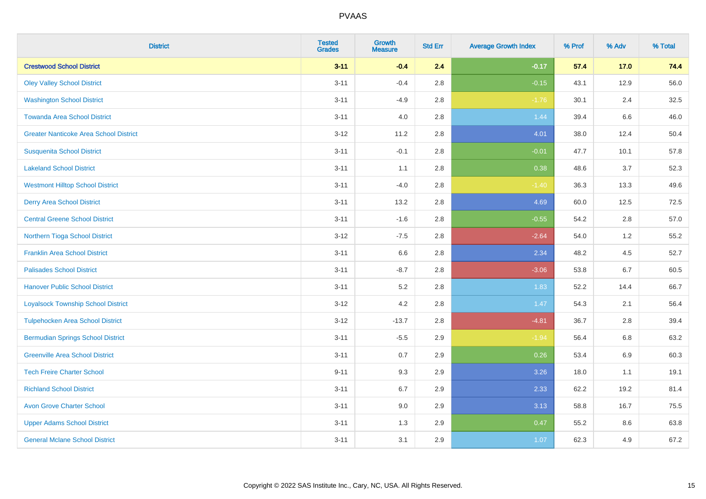| <b>District</b>                               | <b>Tested</b><br><b>Grades</b> | Growth<br><b>Measure</b> | <b>Std Err</b> | <b>Average Growth Index</b> | % Prof | % Adv   | % Total |
|-----------------------------------------------|--------------------------------|--------------------------|----------------|-----------------------------|--------|---------|---------|
| <b>Crestwood School District</b>              | $3 - 11$                       | $-0.4$                   | 2.4            | $-0.17$                     | 57.4   | $17.0$  | 74.4    |
| <b>Oley Valley School District</b>            | $3 - 11$                       | $-0.4$                   | 2.8            | $-0.15$                     | 43.1   | 12.9    | 56.0    |
| <b>Washington School District</b>             | $3 - 11$                       | $-4.9$                   | 2.8            | $-1.76$                     | 30.1   | 2.4     | 32.5    |
| <b>Towanda Area School District</b>           | $3 - 11$                       | $4.0\,$                  | 2.8            | 1.44                        | 39.4   | $6.6\,$ | 46.0    |
| <b>Greater Nanticoke Area School District</b> | $3 - 12$                       | 11.2                     | 2.8            | 4.01                        | 38.0   | 12.4    | 50.4    |
| <b>Susquenita School District</b>             | $3 - 11$                       | $-0.1$                   | 2.8            | $-0.01$                     | 47.7   | 10.1    | 57.8    |
| <b>Lakeland School District</b>               | $3 - 11$                       | 1.1                      | 2.8            | 0.38                        | 48.6   | 3.7     | 52.3    |
| <b>Westmont Hilltop School District</b>       | $3 - 11$                       | $-4.0$                   | 2.8            | $-1.40$                     | 36.3   | 13.3    | 49.6    |
| <b>Derry Area School District</b>             | $3 - 11$                       | 13.2                     | 2.8            | 4.69                        | 60.0   | 12.5    | 72.5    |
| <b>Central Greene School District</b>         | $3 - 11$                       | $-1.6$                   | 2.8            | $-0.55$                     | 54.2   | 2.8     | 57.0    |
| Northern Tioga School District                | $3 - 12$                       | $-7.5$                   | 2.8            | $-2.64$                     | 54.0   | 1.2     | 55.2    |
| <b>Franklin Area School District</b>          | $3 - 11$                       | 6.6                      | 2.8            | 2.34                        | 48.2   | 4.5     | 52.7    |
| <b>Palisades School District</b>              | $3 - 11$                       | $-8.7$                   | 2.8            | $-3.06$                     | 53.8   | 6.7     | 60.5    |
| <b>Hanover Public School District</b>         | $3 - 11$                       | 5.2                      | 2.8            | 1.83                        | 52.2   | 14.4    | 66.7    |
| <b>Loyalsock Township School District</b>     | $3 - 12$                       | 4.2                      | 2.8            | 1.47                        | 54.3   | 2.1     | 56.4    |
| <b>Tulpehocken Area School District</b>       | $3 - 12$                       | $-13.7$                  | 2.8            | $-4.81$                     | 36.7   | 2.8     | 39.4    |
| <b>Bermudian Springs School District</b>      | $3 - 11$                       | $-5.5$                   | 2.9            | $-1.94$                     | 56.4   | 6.8     | 63.2    |
| <b>Greenville Area School District</b>        | $3 - 11$                       | 0.7                      | 2.9            | 0.26                        | 53.4   | 6.9     | 60.3    |
| <b>Tech Freire Charter School</b>             | $9 - 11$                       | 9.3                      | 2.9            | 3.26                        | 18.0   | 1.1     | 19.1    |
| <b>Richland School District</b>               | $3 - 11$                       | 6.7                      | 2.9            | 2.33                        | 62.2   | 19.2    | 81.4    |
| <b>Avon Grove Charter School</b>              | $3 - 11$                       | 9.0                      | 2.9            | 3.13                        | 58.8   | 16.7    | 75.5    |
| <b>Upper Adams School District</b>            | $3 - 11$                       | 1.3                      | 2.9            | 0.47                        | 55.2   | 8.6     | 63.8    |
| <b>General Mclane School District</b>         | $3 - 11$                       | 3.1                      | 2.9            | 1.07                        | 62.3   | 4.9     | 67.2    |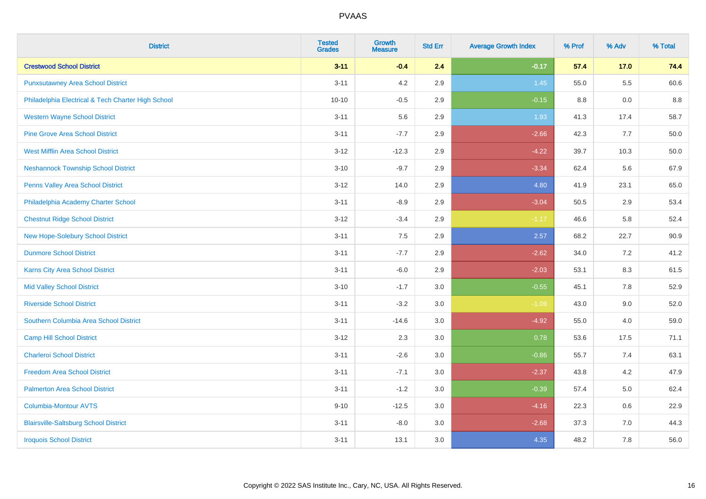| <b>District</b>                                    | <b>Tested</b><br><b>Grades</b> | <b>Growth</b><br><b>Measure</b> | <b>Std Err</b> | <b>Average Growth Index</b> | % Prof | % Adv   | % Total |
|----------------------------------------------------|--------------------------------|---------------------------------|----------------|-----------------------------|--------|---------|---------|
| <b>Crestwood School District</b>                   | $3 - 11$                       | $-0.4$                          | 2.4            | $-0.17$                     | 57.4   | 17.0    | 74.4    |
| <b>Punxsutawney Area School District</b>           | $3 - 11$                       | 4.2                             | 2.9            | 1.45                        | 55.0   | $5.5\,$ | 60.6    |
| Philadelphia Electrical & Tech Charter High School | $10 - 10$                      | $-0.5$                          | 2.9            | $-0.15$                     | 8.8    | 0.0     | 8.8     |
| <b>Western Wayne School District</b>               | $3 - 11$                       | 5.6                             | 2.9            | 1.93                        | 41.3   | 17.4    | 58.7    |
| <b>Pine Grove Area School District</b>             | $3 - 11$                       | $-7.7$                          | 2.9            | $-2.66$                     | 42.3   | 7.7     | 50.0    |
| <b>West Mifflin Area School District</b>           | $3 - 12$                       | $-12.3$                         | 2.9            | $-4.22$                     | 39.7   | 10.3    | 50.0    |
| <b>Neshannock Township School District</b>         | $3 - 10$                       | $-9.7$                          | 2.9            | $-3.34$                     | 62.4   | 5.6     | 67.9    |
| <b>Penns Valley Area School District</b>           | $3 - 12$                       | 14.0                            | 2.9            | 4.80                        | 41.9   | 23.1    | 65.0    |
| Philadelphia Academy Charter School                | $3 - 11$                       | $-8.9$                          | 2.9            | $-3.04$                     | 50.5   | 2.9     | 53.4    |
| <b>Chestnut Ridge School District</b>              | $3 - 12$                       | $-3.4$                          | 2.9            | $-1.17$                     | 46.6   | 5.8     | 52.4    |
| New Hope-Solebury School District                  | $3 - 11$                       | 7.5                             | 2.9            | 2.57                        | 68.2   | 22.7    | 90.9    |
| <b>Dunmore School District</b>                     | $3 - 11$                       | $-7.7$                          | 2.9            | $-2.62$                     | 34.0   | 7.2     | 41.2    |
| Karns City Area School District                    | $3 - 11$                       | $-6.0$                          | 2.9            | $-2.03$                     | 53.1   | $8.3\,$ | 61.5    |
| <b>Mid Valley School District</b>                  | $3 - 10$                       | $-1.7$                          | 3.0            | $-0.55$                     | 45.1   | $7.8\,$ | 52.9    |
| <b>Riverside School District</b>                   | $3 - 11$                       | $-3.2$                          | 3.0            | $-1.09$                     | 43.0   | 9.0     | 52.0    |
| Southern Columbia Area School District             | $3 - 11$                       | $-14.6$                         | 3.0            | $-4.92$                     | 55.0   | 4.0     | 59.0    |
| <b>Camp Hill School District</b>                   | $3 - 12$                       | 2.3                             | 3.0            | 0.78                        | 53.6   | 17.5    | 71.1    |
| <b>Charleroi School District</b>                   | $3 - 11$                       | $-2.6$                          | 3.0            | $-0.86$                     | 55.7   | 7.4     | 63.1    |
| <b>Freedom Area School District</b>                | $3 - 11$                       | $-7.1$                          | 3.0            | $-2.37$                     | 43.8   | 4.2     | 47.9    |
| <b>Palmerton Area School District</b>              | $3 - 11$                       | $-1.2$                          | 3.0            | $-0.39$                     | 57.4   | 5.0     | 62.4    |
| <b>Columbia-Montour AVTS</b>                       | $9 - 10$                       | $-12.5$                         | 3.0            | $-4.16$                     | 22.3   | 0.6     | 22.9    |
| <b>Blairsville-Saltsburg School District</b>       | $3 - 11$                       | $-8.0$                          | 3.0            | $-2.68$                     | 37.3   | 7.0     | 44.3    |
| <b>Iroquois School District</b>                    | $3 - 11$                       | 13.1                            | 3.0            | 4.35                        | 48.2   | 7.8     | 56.0    |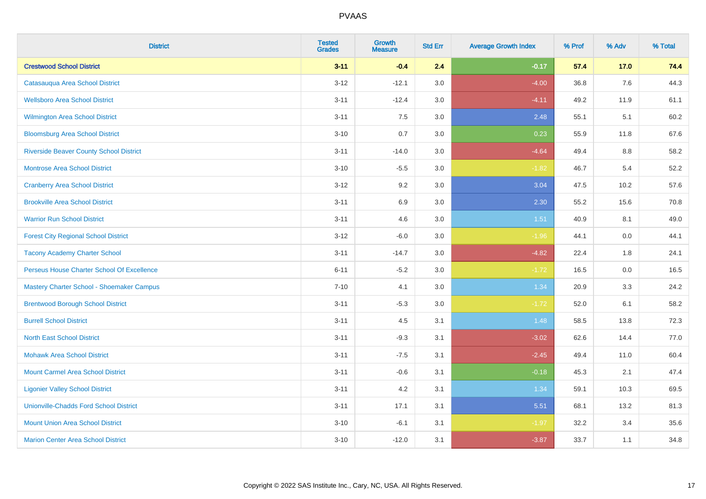| <b>District</b>                                  | <b>Tested</b><br><b>Grades</b> | <b>Growth</b><br><b>Measure</b> | <b>Std Err</b> | <b>Average Growth Index</b> | % Prof | % Adv | % Total |
|--------------------------------------------------|--------------------------------|---------------------------------|----------------|-----------------------------|--------|-------|---------|
| <b>Crestwood School District</b>                 | $3 - 11$                       | $-0.4$                          | 2.4            | $-0.17$                     | 57.4   | 17.0  | 74.4    |
| Catasauqua Area School District                  | $3 - 12$                       | $-12.1$                         | 3.0            | $-4.00$                     | 36.8   | 7.6   | 44.3    |
| <b>Wellsboro Area School District</b>            | $3 - 11$                       | $-12.4$                         | 3.0            | $-4.11$                     | 49.2   | 11.9  | 61.1    |
| Wilmington Area School District                  | $3 - 11$                       | $7.5\,$                         | 3.0            | 2.48                        | 55.1   | 5.1   | 60.2    |
| <b>Bloomsburg Area School District</b>           | $3 - 10$                       | 0.7                             | 3.0            | 0.23                        | 55.9   | 11.8  | 67.6    |
| <b>Riverside Beaver County School District</b>   | $3 - 11$                       | $-14.0$                         | 3.0            | $-4.64$                     | 49.4   | 8.8   | 58.2    |
| Montrose Area School District                    | $3 - 10$                       | $-5.5$                          | 3.0            | $-1.82$                     | 46.7   | 5.4   | 52.2    |
| <b>Cranberry Area School District</b>            | $3 - 12$                       | 9.2                             | 3.0            | 3.04                        | 47.5   | 10.2  | 57.6    |
| <b>Brookville Area School District</b>           | $3 - 11$                       | 6.9                             | 3.0            | 2.30                        | 55.2   | 15.6  | 70.8    |
| <b>Warrior Run School District</b>               | $3 - 11$                       | 4.6                             | 3.0            | 1.51                        | 40.9   | 8.1   | 49.0    |
| <b>Forest City Regional School District</b>      | $3 - 12$                       | $-6.0$                          | 3.0            | $-1.96$                     | 44.1   | 0.0   | 44.1    |
| <b>Tacony Academy Charter School</b>             | $3 - 11$                       | $-14.7$                         | 3.0            | $-4.82$                     | 22.4   | 1.8   | 24.1    |
| Perseus House Charter School Of Excellence       | $6 - 11$                       | $-5.2$                          | 3.0            | $-1.72$                     | 16.5   | 0.0   | 16.5    |
| <b>Mastery Charter School - Shoemaker Campus</b> | $7 - 10$                       | 4.1                             | 3.0            | 1.34                        | 20.9   | 3.3   | 24.2    |
| <b>Brentwood Borough School District</b>         | $3 - 11$                       | $-5.3$                          | 3.0            | $-1.72$                     | 52.0   | 6.1   | 58.2    |
| <b>Burrell School District</b>                   | $3 - 11$                       | 4.5                             | 3.1            | 1.48                        | 58.5   | 13.8  | 72.3    |
| <b>North East School District</b>                | $3 - 11$                       | $-9.3$                          | 3.1            | $-3.02$                     | 62.6   | 14.4  | 77.0    |
| <b>Mohawk Area School District</b>               | $3 - 11$                       | $-7.5$                          | 3.1            | $-2.45$                     | 49.4   | 11.0  | 60.4    |
| <b>Mount Carmel Area School District</b>         | $3 - 11$                       | $-0.6$                          | 3.1            | $-0.18$                     | 45.3   | 2.1   | 47.4    |
| <b>Ligonier Valley School District</b>           | $3 - 11$                       | 4.2                             | 3.1            | 1.34                        | 59.1   | 10.3  | 69.5    |
| <b>Unionville-Chadds Ford School District</b>    | $3 - 11$                       | 17.1                            | 3.1            | 5.51                        | 68.1   | 13.2  | 81.3    |
| <b>Mount Union Area School District</b>          | $3 - 10$                       | $-6.1$                          | 3.1            | $-1.97$                     | 32.2   | 3.4   | 35.6    |
| <b>Marion Center Area School District</b>        | $3 - 10$                       | $-12.0$                         | 3.1            | $-3.87$                     | 33.7   | 1.1   | 34.8    |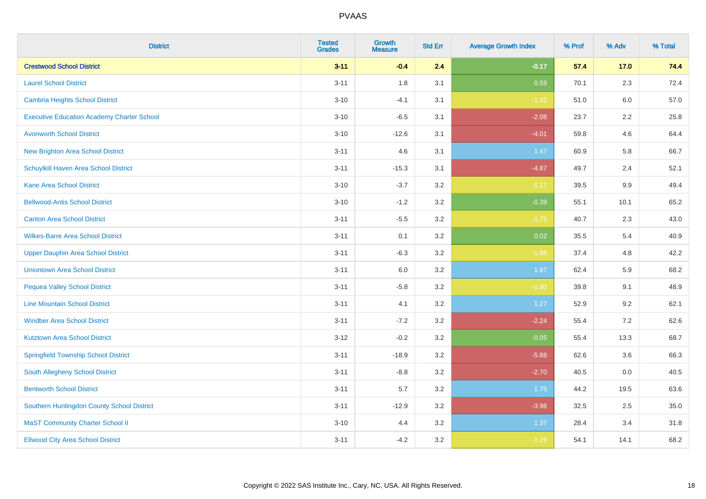| <b>District</b>                                   | <b>Tested</b><br><b>Grades</b> | Growth<br><b>Measure</b> | <b>Std Err</b> | <b>Average Growth Index</b> | % Prof | % Adv   | % Total |
|---------------------------------------------------|--------------------------------|--------------------------|----------------|-----------------------------|--------|---------|---------|
| <b>Crestwood School District</b>                  | $3 - 11$                       | $-0.4$                   | 2.4            | $-0.17$                     | 57.4   | $17.0$  | 74.4    |
| <b>Laurel School District</b>                     | $3 - 11$                       | 1.8                      | 3.1            | 0.59                        | 70.1   | 2.3     | 72.4    |
| Cambria Heights School District                   | $3 - 10$                       | $-4.1$                   | 3.1            | $-1.32$                     | 51.0   | 6.0     | 57.0    |
| <b>Executive Education Academy Charter School</b> | $3 - 10$                       | $-6.5$                   | 3.1            | $-2.08$                     | 23.7   | $2.2\,$ | 25.8    |
| <b>Avonworth School District</b>                  | $3 - 10$                       | $-12.6$                  | 3.1            | $-4.01$                     | 59.8   | 4.6     | 64.4    |
| <b>New Brighton Area School District</b>          | $3 - 11$                       | 4.6                      | 3.1            | 1.47                        | 60.9   | 5.8     | 66.7    |
| Schuylkill Haven Area School District             | $3 - 11$                       | $-15.3$                  | 3.1            | $-4.87$                     | 49.7   | 2.4     | 52.1    |
| <b>Kane Area School District</b>                  | $3 - 10$                       | $-3.7$                   | 3.2            | $-1.17$                     | 39.5   | 9.9     | 49.4    |
| <b>Bellwood-Antis School District</b>             | $3 - 10$                       | $-1.2$                   | 3.2            | $-0.39$                     | 55.1   | 10.1    | 65.2    |
| <b>Canton Area School District</b>                | $3 - 11$                       | $-5.5$                   | 3.2            | $-1.75$                     | 40.7   | 2.3     | 43.0    |
| <b>Wilkes-Barre Area School District</b>          | $3 - 11$                       | 0.1                      | 3.2            | 0.02                        | 35.5   | 5.4     | 40.9    |
| <b>Upper Dauphin Area School District</b>         | $3 - 11$                       | $-6.3$                   | 3.2            | $-1.98$                     | 37.4   | 4.8     | 42.2    |
| <b>Uniontown Area School District</b>             | $3 - 11$                       | 6.0                      | 3.2            | 1.87                        | 62.4   | 5.9     | 68.2    |
| <b>Pequea Valley School District</b>              | $3 - 11$                       | $-5.8$                   | 3.2            | $-1.80$                     | 39.8   | 9.1     | 48.9    |
| <b>Line Mountain School District</b>              | $3 - 11$                       | 4.1                      | 3.2            | 1.27                        | 52.9   | 9.2     | 62.1    |
| <b>Windber Area School District</b>               | $3 - 11$                       | $-7.2$                   | 3.2            | $-2.24$                     | 55.4   | 7.2     | 62.6    |
| <b>Kutztown Area School District</b>              | $3 - 12$                       | $-0.2$                   | 3.2            | $-0.05$                     | 55.4   | 13.3    | 68.7    |
| <b>Springfield Township School District</b>       | $3 - 11$                       | $-18.9$                  | 3.2            | $-5.88$                     | 62.6   | 3.6     | 66.3    |
| South Allegheny School District                   | $3 - 11$                       | $-8.8$                   | 3.2            | $-2.70$                     | 40.5   | 0.0     | 40.5    |
| <b>Bentworth School District</b>                  | $3 - 11$                       | 5.7                      | 3.2            | 1.75                        | 44.2   | 19.5    | 63.6    |
| Southern Huntingdon County School District        | $3 - 11$                       | $-12.9$                  | 3.2            | $-3.98$                     | 32.5   | 2.5     | 35.0    |
| <b>MaST Community Charter School II</b>           | $3 - 10$                       | 4.4                      | 3.2            | 1.37                        | 28.4   | 3.4     | 31.8    |
| <b>Ellwood City Area School District</b>          | $3 - 11$                       | $-4.2$                   | 3.2            | $-1.29$                     | 54.1   | 14.1    | 68.2    |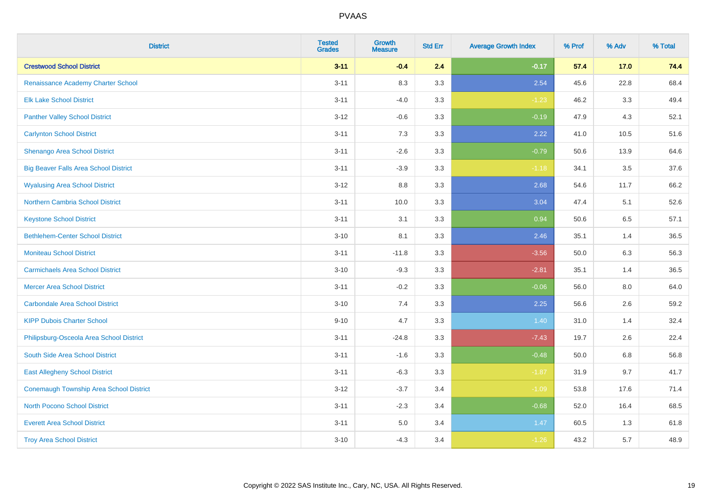| <b>District</b>                              | <b>Tested</b><br><b>Grades</b> | <b>Growth</b><br><b>Measure</b> | <b>Std Err</b> | <b>Average Growth Index</b> | % Prof | % Adv | % Total |
|----------------------------------------------|--------------------------------|---------------------------------|----------------|-----------------------------|--------|-------|---------|
| <b>Crestwood School District</b>             | $3 - 11$                       | $-0.4$                          | 2.4            | $-0.17$                     | 57.4   | 17.0  | 74.4    |
| Renaissance Academy Charter School           | $3 - 11$                       | 8.3                             | 3.3            | 2.54                        | 45.6   | 22.8  | 68.4    |
| <b>Elk Lake School District</b>              | $3 - 11$                       | $-4.0$                          | 3.3            | $-1.23$                     | 46.2   | 3.3   | 49.4    |
| <b>Panther Valley School District</b>        | $3 - 12$                       | $-0.6$                          | 3.3            | $-0.19$                     | 47.9   | 4.3   | 52.1    |
| <b>Carlynton School District</b>             | $3 - 11$                       | 7.3                             | 3.3            | 2.22                        | 41.0   | 10.5  | 51.6    |
| Shenango Area School District                | $3 - 11$                       | $-2.6$                          | 3.3            | $-0.79$                     | 50.6   | 13.9  | 64.6    |
| <b>Big Beaver Falls Area School District</b> | $3 - 11$                       | $-3.9$                          | 3.3            | $-1.18$                     | 34.1   | 3.5   | 37.6    |
| <b>Wyalusing Area School District</b>        | $3 - 12$                       | 8.8                             | 3.3            | 2.68                        | 54.6   | 11.7  | 66.2    |
| <b>Northern Cambria School District</b>      | $3 - 11$                       | 10.0                            | 3.3            | 3.04                        | 47.4   | 5.1   | 52.6    |
| <b>Keystone School District</b>              | $3 - 11$                       | 3.1                             | 3.3            | 0.94                        | 50.6   | 6.5   | 57.1    |
| <b>Bethlehem-Center School District</b>      | $3 - 10$                       | 8.1                             | 3.3            | 2.46                        | 35.1   | 1.4   | 36.5    |
| <b>Moniteau School District</b>              | $3 - 11$                       | $-11.8$                         | 3.3            | $-3.56$                     | 50.0   | 6.3   | 56.3    |
| <b>Carmichaels Area School District</b>      | $3 - 10$                       | $-9.3$                          | 3.3            | $-2.81$                     | 35.1   | 1.4   | 36.5    |
| <b>Mercer Area School District</b>           | $3 - 11$                       | $-0.2$                          | 3.3            | $-0.06$                     | 56.0   | 8.0   | 64.0    |
| <b>Carbondale Area School District</b>       | $3 - 10$                       | 7.4                             | 3.3            | 2.25                        | 56.6   | 2.6   | 59.2    |
| <b>KIPP Dubois Charter School</b>            | $9 - 10$                       | 4.7                             | 3.3            | 1.40                        | 31.0   | 1.4   | 32.4    |
| Philipsburg-Osceola Area School District     | $3 - 11$                       | $-24.8$                         | 3.3            | $-7.43$                     | 19.7   | 2.6   | 22.4    |
| South Side Area School District              | $3 - 11$                       | $-1.6$                          | 3.3            | $-0.48$                     | 50.0   | 6.8   | 56.8    |
| <b>East Allegheny School District</b>        | $3 - 11$                       | $-6.3$                          | 3.3            | $-1.87$                     | 31.9   | 9.7   | 41.7    |
| Conemaugh Township Area School District      | $3 - 12$                       | $-3.7$                          | 3.4            | $-1.09$                     | 53.8   | 17.6  | 71.4    |
| <b>North Pocono School District</b>          | $3 - 11$                       | $-2.3$                          | 3.4            | $-0.68$                     | 52.0   | 16.4  | 68.5    |
| <b>Everett Area School District</b>          | $3 - 11$                       | $5.0\,$                         | 3.4            | 1.47                        | 60.5   | 1.3   | 61.8    |
| <b>Troy Area School District</b>             | $3 - 10$                       | $-4.3$                          | 3.4            | $-1.26$                     | 43.2   | 5.7   | 48.9    |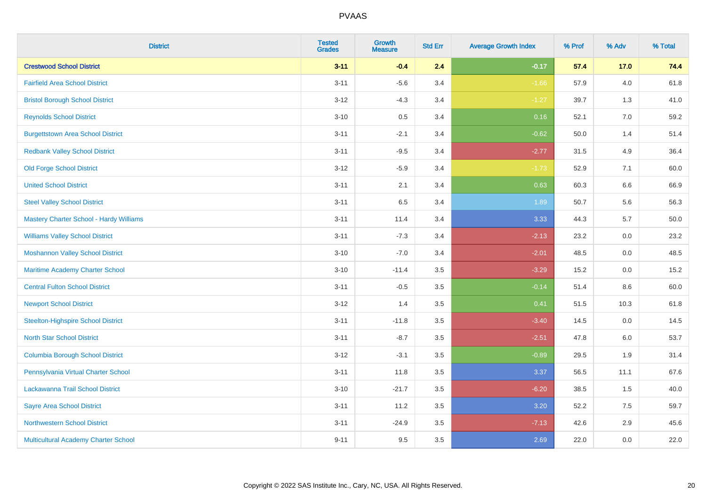| <b>District</b>                           | <b>Tested</b><br><b>Grades</b> | <b>Growth</b><br><b>Measure</b> | <b>Std Err</b> | <b>Average Growth Index</b> | % Prof | % Adv   | % Total  |
|-------------------------------------------|--------------------------------|---------------------------------|----------------|-----------------------------|--------|---------|----------|
| <b>Crestwood School District</b>          | $3 - 11$                       | $-0.4$                          | 2.4            | $-0.17$                     | 57.4   | 17.0    | 74.4     |
| <b>Fairfield Area School District</b>     | $3 - 11$                       | $-5.6$                          | 3.4            | $-1.66$                     | 57.9   | 4.0     | 61.8     |
| <b>Bristol Borough School District</b>    | $3 - 12$                       | $-4.3$                          | 3.4            | $-1.27$                     | 39.7   | 1.3     | 41.0     |
| <b>Reynolds School District</b>           | $3 - 10$                       | 0.5                             | 3.4            | 0.16                        | 52.1   | 7.0     | 59.2     |
| <b>Burgettstown Area School District</b>  | $3 - 11$                       | $-2.1$                          | 3.4            | $-0.62$                     | 50.0   | 1.4     | 51.4     |
| <b>Redbank Valley School District</b>     | $3 - 11$                       | $-9.5$                          | 3.4            | $-2.77$                     | 31.5   | 4.9     | 36.4     |
| <b>Old Forge School District</b>          | $3 - 12$                       | $-5.9$                          | 3.4            | $-1.73$                     | 52.9   | 7.1     | 60.0     |
| <b>United School District</b>             | $3 - 11$                       | 2.1                             | 3.4            | 0.63                        | 60.3   | 6.6     | 66.9     |
| <b>Steel Valley School District</b>       | $3 - 11$                       | 6.5                             | 3.4            | 1.89                        | 50.7   | 5.6     | 56.3     |
| Mastery Charter School - Hardy Williams   | $3 - 11$                       | 11.4                            | 3.4            | 3.33                        | 44.3   | 5.7     | $50.0\,$ |
| <b>Williams Valley School District</b>    | $3 - 11$                       | $-7.3$                          | 3.4            | $-2.13$                     | 23.2   | 0.0     | 23.2     |
| <b>Moshannon Valley School District</b>   | $3 - 10$                       | $-7.0$                          | 3.4            | $-2.01$                     | 48.5   | 0.0     | 48.5     |
| Maritime Academy Charter School           | $3 - 10$                       | $-11.4$                         | 3.5            | $-3.29$                     | 15.2   | 0.0     | 15.2     |
| <b>Central Fulton School District</b>     | $3 - 11$                       | $-0.5$                          | 3.5            | $-0.14$                     | 51.4   | $8.6\,$ | 60.0     |
| <b>Newport School District</b>            | $3 - 12$                       | 1.4                             | 3.5            | 0.41                        | 51.5   | 10.3    | 61.8     |
| <b>Steelton-Highspire School District</b> | $3 - 11$                       | $-11.8$                         | 3.5            | $-3.40$                     | 14.5   | 0.0     | 14.5     |
| <b>North Star School District</b>         | $3 - 11$                       | $-8.7$                          | 3.5            | $-2.51$                     | 47.8   | 6.0     | 53.7     |
| <b>Columbia Borough School District</b>   | $3 - 12$                       | $-3.1$                          | 3.5            | $-0.89$                     | 29.5   | 1.9     | 31.4     |
| Pennsylvania Virtual Charter School       | $3 - 11$                       | 11.8                            | 3.5            | 3.37                        | 56.5   | 11.1    | 67.6     |
| Lackawanna Trail School District          | $3 - 10$                       | $-21.7$                         | 3.5            | $-6.20$                     | 38.5   | 1.5     | 40.0     |
| <b>Sayre Area School District</b>         | $3 - 11$                       | 11.2                            | 3.5            | 3.20                        | 52.2   | 7.5     | 59.7     |
| <b>Northwestern School District</b>       | $3 - 11$                       | $-24.9$                         | 3.5            | $-7.13$                     | 42.6   | 2.9     | 45.6     |
| Multicultural Academy Charter School      | $9 - 11$                       | 9.5                             | 3.5            | 2.69                        | 22.0   | 0.0     | 22.0     |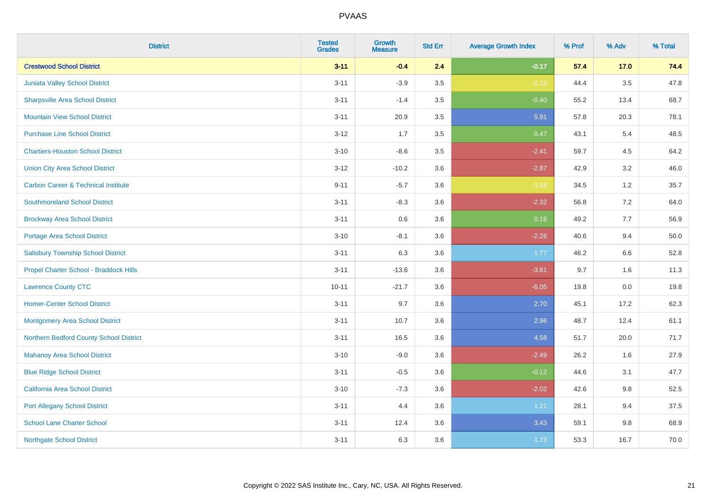| <b>District</b>                                | <b>Tested</b><br><b>Grades</b> | Growth<br><b>Measure</b> | <b>Std Err</b> | <b>Average Growth Index</b> | % Prof | % Adv   | % Total |
|------------------------------------------------|--------------------------------|--------------------------|----------------|-----------------------------|--------|---------|---------|
| <b>Crestwood School District</b>               | $3 - 11$                       | $-0.4$                   | 2.4            | $-0.17$                     | 57.4   | $17.0$  | 74.4    |
| Juniata Valley School District                 | $3 - 11$                       | $-3.9$                   | 3.5            | $-1.10$                     | 44.4   | $3.5\,$ | 47.8    |
| <b>Sharpsville Area School District</b>        | $3 - 11$                       | $-1.4$                   | 3.5            | $-0.40$                     | 55.2   | 13.4    | 68.7    |
| <b>Mountain View School District</b>           | $3 - 11$                       | 20.9                     | 3.5            | 5.91                        | 57.8   | 20.3    | 78.1    |
| <b>Purchase Line School District</b>           | $3 - 12$                       | 1.7                      | 3.5            | 0.47                        | 43.1   | 5.4     | 48.5    |
| <b>Chartiers-Houston School District</b>       | $3 - 10$                       | $-8.6$                   | 3.5            | $-2.41$                     | 59.7   | 4.5     | 64.2    |
| <b>Union City Area School District</b>         | $3 - 12$                       | $-10.2$                  | 3.6            | $-2.87$                     | 42.9   | 3.2     | 46.0    |
| <b>Carbon Career &amp; Technical Institute</b> | $9 - 11$                       | $-5.7$                   | 3.6            | $-1.59$                     | 34.5   | 1.2     | 35.7    |
| <b>Southmoreland School District</b>           | $3 - 11$                       | $-8.3$                   | 3.6            | $-2.32$                     | 56.8   | 7.2     | 64.0    |
| <b>Brockway Area School District</b>           | $3 - 11$                       | 0.6                      | 3.6            | 0.16                        | 49.2   | 7.7     | 56.9    |
| <b>Portage Area School District</b>            | $3 - 10$                       | $-8.1$                   | 3.6            | $-2.26$                     | 40.6   | 9.4     | 50.0    |
| <b>Salisbury Township School District</b>      | $3 - 11$                       | 6.3                      | 3.6            | 1.77                        | 46.2   | 6.6     | 52.8    |
| Propel Charter School - Braddock Hills         | $3 - 11$                       | $-13.6$                  | 3.6            | $-3.81$                     | 9.7    | 1.6     | 11.3    |
| <b>Lawrence County CTC</b>                     | $10 - 11$                      | $-21.7$                  | 3.6            | $-6.05$                     | 19.8   | 0.0     | 19.8    |
| <b>Homer-Center School District</b>            | $3 - 11$                       | 9.7                      | 3.6            | 2.70                        | 45.1   | 17.2    | 62.3    |
| <b>Montgomery Area School District</b>         | $3 - 11$                       | 10.7                     | 3.6            | 2.96                        | 48.7   | 12.4    | 61.1    |
| Northern Bedford County School District        | $3 - 11$                       | 16.5                     | 3.6            | 4.58                        | 51.7   | 20.0    | 71.7    |
| <b>Mahanoy Area School District</b>            | $3 - 10$                       | $-9.0$                   | 3.6            | $-2.49$                     | 26.2   | 1.6     | 27.9    |
| <b>Blue Ridge School District</b>              | $3 - 11$                       | $-0.5$                   | 3.6            | $-0.12$                     | 44.6   | 3.1     | 47.7    |
| California Area School District                | $3 - 10$                       | $-7.3$                   | 3.6            | $-2.02$                     | 42.6   | $9.8\,$ | 52.5    |
| <b>Port Allegany School District</b>           | $3 - 11$                       | 4.4                      | 3.6            | 1.21                        | 28.1   | 9.4     | 37.5    |
| <b>School Lane Charter School</b>              | $3 - 11$                       | 12.4                     | 3.6            | 3.43                        | 59.1   | $9.8\,$ | 68.9    |
| <b>Northgate School District</b>               | $3 - 11$                       | 6.3                      | 3.6            | 1.73                        | 53.3   | 16.7    | 70.0    |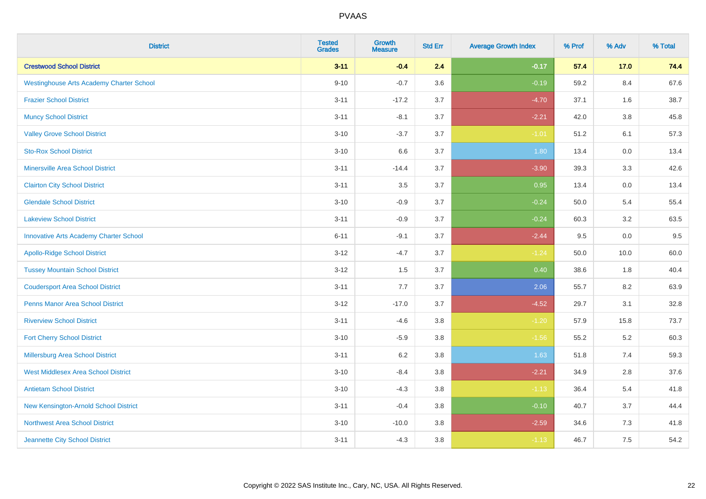| <b>District</b>                                 | <b>Tested</b><br><b>Grades</b> | <b>Growth</b><br><b>Measure</b> | <b>Std Err</b> | <b>Average Growth Index</b> | % Prof | % Adv   | % Total |
|-------------------------------------------------|--------------------------------|---------------------------------|----------------|-----------------------------|--------|---------|---------|
| <b>Crestwood School District</b>                | $3 - 11$                       | $-0.4$                          | 2.4            | $-0.17$                     | 57.4   | 17.0    | 74.4    |
| <b>Westinghouse Arts Academy Charter School</b> | $9 - 10$                       | $-0.7$                          | 3.6            | $-0.19$                     | 59.2   | 8.4     | 67.6    |
| <b>Frazier School District</b>                  | $3 - 11$                       | $-17.2$                         | 3.7            | $-4.70$                     | 37.1   | 1.6     | 38.7    |
| <b>Muncy School District</b>                    | $3 - 11$                       | $-8.1$                          | 3.7            | $-2.21$                     | 42.0   | $3.8\,$ | 45.8    |
| <b>Valley Grove School District</b>             | $3 - 10$                       | $-3.7$                          | 3.7            | $-1.01$                     | 51.2   | 6.1     | 57.3    |
| <b>Sto-Rox School District</b>                  | $3 - 10$                       | 6.6                             | 3.7            | 1.80                        | 13.4   | 0.0     | 13.4    |
| <b>Minersville Area School District</b>         | $3 - 11$                       | $-14.4$                         | 3.7            | $-3.90$                     | 39.3   | 3.3     | 42.6    |
| <b>Clairton City School District</b>            | $3 - 11$                       | 3.5                             | 3.7            | 0.95                        | 13.4   | 0.0     | 13.4    |
| <b>Glendale School District</b>                 | $3 - 10$                       | $-0.9$                          | 3.7            | $-0.24$                     | 50.0   | 5.4     | 55.4    |
| <b>Lakeview School District</b>                 | $3 - 11$                       | $-0.9$                          | 3.7            | $-0.24$                     | 60.3   | 3.2     | 63.5    |
| <b>Innovative Arts Academy Charter School</b>   | $6 - 11$                       | $-9.1$                          | 3.7            | $-2.44$                     | 9.5    | 0.0     | 9.5     |
| <b>Apollo-Ridge School District</b>             | $3 - 12$                       | $-4.7$                          | 3.7            | $-1.24$                     | 50.0   | 10.0    | 60.0    |
| <b>Tussey Mountain School District</b>          | $3 - 12$                       | 1.5                             | 3.7            | 0.40                        | 38.6   | 1.8     | 40.4    |
| <b>Coudersport Area School District</b>         | $3 - 11$                       | 7.7                             | 3.7            | 2.06                        | 55.7   | 8.2     | 63.9    |
| <b>Penns Manor Area School District</b>         | $3 - 12$                       | $-17.0$                         | 3.7            | $-4.52$                     | 29.7   | 3.1     | 32.8    |
| <b>Riverview School District</b>                | $3 - 11$                       | $-4.6$                          | $3.8\,$        | $-1.20$                     | 57.9   | 15.8    | 73.7    |
| <b>Fort Cherry School District</b>              | $3 - 10$                       | $-5.9$                          | $3.8\,$        | $-1.56$                     | 55.2   | 5.2     | 60.3    |
| Millersburg Area School District                | $3 - 11$                       | 6.2                             | 3.8            | 1.63                        | 51.8   | 7.4     | 59.3    |
| <b>West Middlesex Area School District</b>      | $3 - 10$                       | $-8.4$                          | 3.8            | $-2.21$                     | 34.9   | 2.8     | 37.6    |
| <b>Antietam School District</b>                 | $3 - 10$                       | $-4.3$                          | $3.8\,$        | $-1.13$                     | 36.4   | 5.4     | 41.8    |
| New Kensington-Arnold School District           | $3 - 11$                       | $-0.4$                          | 3.8            | $-0.10$                     | 40.7   | 3.7     | 44.4    |
| Northwest Area School District                  | $3 - 10$                       | $-10.0$                         | 3.8            | $-2.59$                     | 34.6   | 7.3     | 41.8    |
| Jeannette City School District                  | $3 - 11$                       | $-4.3$                          | 3.8            | $-1.13$                     | 46.7   | 7.5     | 54.2    |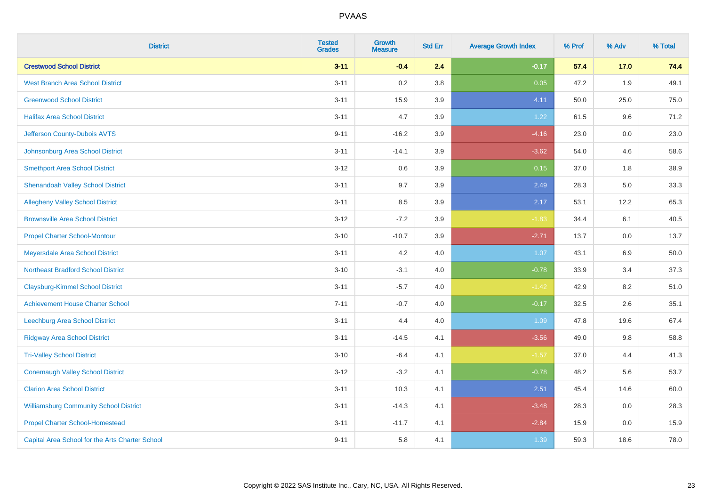| <b>District</b>                                 | <b>Tested</b><br><b>Grades</b> | <b>Growth</b><br><b>Measure</b> | <b>Std Err</b> | <b>Average Growth Index</b> | % Prof | % Adv | % Total |
|-------------------------------------------------|--------------------------------|---------------------------------|----------------|-----------------------------|--------|-------|---------|
| <b>Crestwood School District</b>                | $3 - 11$                       | $-0.4$                          | 2.4            | $-0.17$                     | 57.4   | 17.0  | 74.4    |
| <b>West Branch Area School District</b>         | $3 - 11$                       | 0.2                             | 3.8            | 0.05                        | 47.2   | 1.9   | 49.1    |
| <b>Greenwood School District</b>                | $3 - 11$                       | 15.9                            | 3.9            | 4.11                        | 50.0   | 25.0  | 75.0    |
| <b>Halifax Area School District</b>             | $3 - 11$                       | 4.7                             | 3.9            | 1.22                        | 61.5   | 9.6   | 71.2    |
| Jefferson County-Dubois AVTS                    | $9 - 11$                       | $-16.2$                         | 3.9            | $-4.16$                     | 23.0   | 0.0   | 23.0    |
| Johnsonburg Area School District                | $3 - 11$                       | $-14.1$                         | 3.9            | $-3.62$                     | 54.0   | 4.6   | 58.6    |
| <b>Smethport Area School District</b>           | $3 - 12$                       | 0.6                             | 3.9            | 0.15                        | 37.0   | 1.8   | 38.9    |
| <b>Shenandoah Valley School District</b>        | $3 - 11$                       | 9.7                             | 3.9            | 2.49                        | 28.3   | 5.0   | 33.3    |
| <b>Allegheny Valley School District</b>         | $3 - 11$                       | 8.5                             | 3.9            | 2.17                        | 53.1   | 12.2  | 65.3    |
| <b>Brownsville Area School District</b>         | $3 - 12$                       | $-7.2$                          | 3.9            | $-1.83$                     | 34.4   | 6.1   | 40.5    |
| <b>Propel Charter School-Montour</b>            | $3 - 10$                       | $-10.7$                         | 3.9            | $-2.71$                     | 13.7   | 0.0   | 13.7    |
| Meyersdale Area School District                 | $3 - 11$                       | 4.2                             | 4.0            | 1.07                        | 43.1   | 6.9   | 50.0    |
| <b>Northeast Bradford School District</b>       | $3 - 10$                       | $-3.1$                          | 4.0            | $-0.78$                     | 33.9   | 3.4   | 37.3    |
| <b>Claysburg-Kimmel School District</b>         | $3 - 11$                       | $-5.7$                          | 4.0            | $-1.42$                     | 42.9   | 8.2   | 51.0    |
| <b>Achievement House Charter School</b>         | $7 - 11$                       | $-0.7$                          | 4.0            | $-0.17$                     | 32.5   | 2.6   | 35.1    |
| Leechburg Area School District                  | $3 - 11$                       | 4.4                             | 4.0            | 1.09                        | 47.8   | 19.6  | 67.4    |
| <b>Ridgway Area School District</b>             | $3 - 11$                       | $-14.5$                         | 4.1            | $-3.56$                     | 49.0   | 9.8   | 58.8    |
| <b>Tri-Valley School District</b>               | $3 - 10$                       | $-6.4$                          | 4.1            | $-1.57$                     | 37.0   | 4.4   | 41.3    |
| <b>Conemaugh Valley School District</b>         | $3 - 12$                       | $-3.2$                          | 4.1            | $-0.78$                     | 48.2   | 5.6   | 53.7    |
| <b>Clarion Area School District</b>             | $3 - 11$                       | 10.3                            | 4.1            | 2.51                        | 45.4   | 14.6  | 60.0    |
| <b>Williamsburg Community School District</b>   | $3 - 11$                       | $-14.3$                         | 4.1            | $-3.48$                     | 28.3   | 0.0   | 28.3    |
| <b>Propel Charter School-Homestead</b>          | $3 - 11$                       | $-11.7$                         | 4.1            | $-2.84$                     | 15.9   | 0.0   | 15.9    |
| Capital Area School for the Arts Charter School | $9 - 11$                       | 5.8                             | 4.1            | 1.39                        | 59.3   | 18.6  | 78.0    |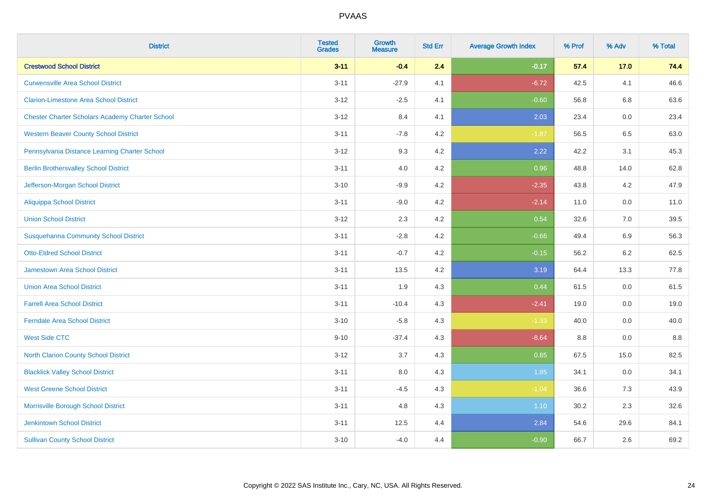| <b>District</b>                                        | <b>Tested</b><br><b>Grades</b> | <b>Growth</b><br><b>Measure</b> | <b>Std Err</b> | <b>Average Growth Index</b> | % Prof | % Adv   | % Total |
|--------------------------------------------------------|--------------------------------|---------------------------------|----------------|-----------------------------|--------|---------|---------|
| <b>Crestwood School District</b>                       | $3 - 11$                       | $-0.4$                          | 2.4            | $-0.17$                     | 57.4   | 17.0    | 74.4    |
| <b>Curwensville Area School District</b>               | $3 - 11$                       | $-27.9$                         | 4.1            | $-6.72$                     | 42.5   | 4.1     | 46.6    |
| <b>Clarion-Limestone Area School District</b>          | $3 - 12$                       | $-2.5$                          | 4.1            | $-0.60$                     | 56.8   | 6.8     | 63.6    |
| <b>Chester Charter Scholars Academy Charter School</b> | $3 - 12$                       | 8.4                             | 4.1            | 2.03                        | 23.4   | $0.0\,$ | 23.4    |
| <b>Western Beaver County School District</b>           | $3 - 11$                       | $-7.8$                          | 4.2            | $-1.87$                     | 56.5   | 6.5     | 63.0    |
| Pennsylvania Distance Learning Charter School          | $3 - 12$                       | 9.3                             | 4.2            | 2.22                        | 42.2   | 3.1     | 45.3    |
| <b>Berlin Brothersvalley School District</b>           | $3 - 11$                       | 4.0                             | 4.2            | 0.96                        | 48.8   | 14.0    | 62.8    |
| Jefferson-Morgan School District                       | $3 - 10$                       | $-9.9$                          | 4.2            | $-2.35$                     | 43.8   | 4.2     | 47.9    |
| <b>Aliquippa School District</b>                       | $3 - 11$                       | $-9.0$                          | 4.2            | $-2.14$                     | 11.0   | 0.0     | 11.0    |
| <b>Union School District</b>                           | $3 - 12$                       | 2.3                             | 4.2            | 0.54                        | 32.6   | 7.0     | 39.5    |
| <b>Susquehanna Community School District</b>           | $3 - 11$                       | $-2.8$                          | 4.2            | $-0.66$                     | 49.4   | 6.9     | 56.3    |
| <b>Otto-Eldred School District</b>                     | $3 - 11$                       | $-0.7$                          | 4.2            | $-0.15$                     | 56.2   | 6.2     | 62.5    |
| <b>Jamestown Area School District</b>                  | $3 - 11$                       | 13.5                            | 4.2            | 3.19                        | 64.4   | 13.3    | 77.8    |
| <b>Union Area School District</b>                      | $3 - 11$                       | 1.9                             | 4.3            | 0.44                        | 61.5   | 0.0     | 61.5    |
| <b>Farrell Area School District</b>                    | $3 - 11$                       | $-10.4$                         | 4.3            | $-2.41$                     | 19.0   | 0.0     | 19.0    |
| <b>Ferndale Area School District</b>                   | $3 - 10$                       | $-5.8$                          | 4.3            | $-1.33$                     | 40.0   | 0.0     | 40.0    |
| <b>West Side CTC</b>                                   | $9 - 10$                       | $-37.4$                         | 4.3            | $-8.64$                     | 8.8    | 0.0     | 8.8     |
| North Clarion County School District                   | $3 - 12$                       | 3.7                             | 4.3            | 0.85                        | 67.5   | 15.0    | 82.5    |
| <b>Blacklick Valley School District</b>                | $3 - 11$                       | $8.0\,$                         | 4.3            | 1.85                        | 34.1   | $0.0\,$ | 34.1    |
| <b>West Greene School District</b>                     | $3 - 11$                       | $-4.5$                          | 4.3            | $-1.04$                     | 36.6   | 7.3     | 43.9    |
| Morrisville Borough School District                    | $3 - 11$                       | 4.8                             | 4.3            | 1.10                        | 30.2   | 2.3     | 32.6    |
| <b>Jenkintown School District</b>                      | $3 - 11$                       | 12.5                            | 4.4            | 2.84                        | 54.6   | 29.6    | 84.1    |
| <b>Sullivan County School District</b>                 | $3 - 10$                       | $-4.0$                          | 4.4            | $-0.90$                     | 66.7   | 2.6     | 69.2    |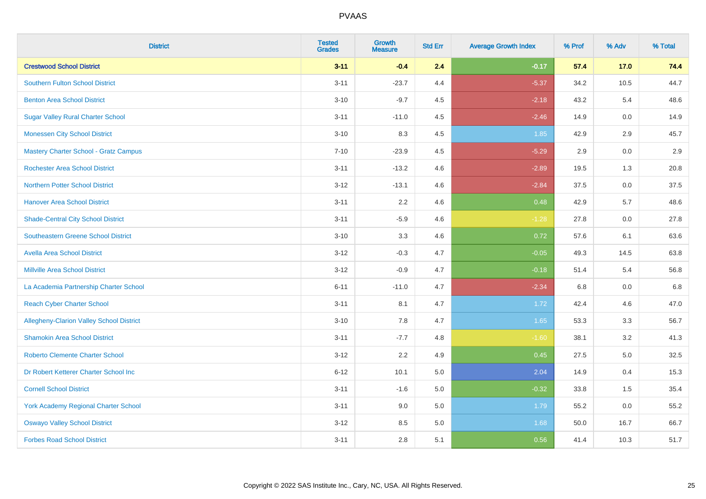| <b>District</b>                              | <b>Tested</b><br><b>Grades</b> | Growth<br><b>Measure</b> | <b>Std Err</b> | <b>Average Growth Index</b> | % Prof | % Adv | % Total |
|----------------------------------------------|--------------------------------|--------------------------|----------------|-----------------------------|--------|-------|---------|
| <b>Crestwood School District</b>             | $3 - 11$                       | $-0.4$                   | 2.4            | $-0.17$                     | 57.4   | 17.0  | 74.4    |
| <b>Southern Fulton School District</b>       | $3 - 11$                       | $-23.7$                  | 4.4            | $-5.37$                     | 34.2   | 10.5  | 44.7    |
| <b>Benton Area School District</b>           | $3 - 10$                       | $-9.7$                   | 4.5            | $-2.18$                     | 43.2   | 5.4   | 48.6    |
| <b>Sugar Valley Rural Charter School</b>     | $3 - 11$                       | $-11.0$                  | 4.5            | $-2.46$                     | 14.9   | 0.0   | 14.9    |
| <b>Monessen City School District</b>         | $3 - 10$                       | 8.3                      | 4.5            | 1.85                        | 42.9   | 2.9   | 45.7    |
| <b>Mastery Charter School - Gratz Campus</b> | $7 - 10$                       | $-23.9$                  | 4.5            | $-5.29$                     | 2.9    | 0.0   | 2.9     |
| <b>Rochester Area School District</b>        | $3 - 11$                       | $-13.2$                  | 4.6            | $-2.89$                     | 19.5   | 1.3   | 20.8    |
| <b>Northern Potter School District</b>       | $3 - 12$                       | $-13.1$                  | 4.6            | $-2.84$                     | 37.5   | 0.0   | 37.5    |
| <b>Hanover Area School District</b>          | $3 - 11$                       | 2.2                      | 4.6            | 0.48                        | 42.9   | 5.7   | 48.6    |
| <b>Shade-Central City School District</b>    | $3 - 11$                       | $-5.9$                   | 4.6            | $-1.28$                     | 27.8   | 0.0   | 27.8    |
| Southeastern Greene School District          | $3 - 10$                       | 3.3                      | 4.6            | 0.72                        | 57.6   | 6.1   | 63.6    |
| <b>Avella Area School District</b>           | $3 - 12$                       | $-0.3$                   | 4.7            | $-0.05$                     | 49.3   | 14.5  | 63.8    |
| <b>Millville Area School District</b>        | $3 - 12$                       | $-0.9$                   | 4.7            | $-0.18$                     | 51.4   | 5.4   | 56.8    |
| La Academia Partnership Charter School       | $6 - 11$                       | $-11.0$                  | 4.7            | $-2.34$                     | 6.8    | 0.0   | 6.8     |
| <b>Reach Cyber Charter School</b>            | $3 - 11$                       | 8.1                      | 4.7            | 1.72                        | 42.4   | 4.6   | 47.0    |
| Allegheny-Clarion Valley School District     | $3 - 10$                       | 7.8                      | 4.7            | 1.65                        | 53.3   | 3.3   | 56.7    |
| <b>Shamokin Area School District</b>         | $3 - 11$                       | $-7.7$                   | 4.8            | $-1.60$                     | 38.1   | 3.2   | 41.3    |
| <b>Roberto Clemente Charter School</b>       | $3-12$                         | 2.2                      | 4.9            | 0.45                        | 27.5   | 5.0   | 32.5    |
| Dr Robert Ketterer Charter School Inc        | $6 - 12$                       | 10.1                     | 5.0            | 2.04                        | 14.9   | 0.4   | 15.3    |
| <b>Cornell School District</b>               | $3 - 11$                       | $-1.6$                   | 5.0            | $-0.32$                     | 33.8   | 1.5   | 35.4    |
| <b>York Academy Regional Charter School</b>  | $3 - 11$                       | 9.0                      | 5.0            | 1.79                        | 55.2   | 0.0   | 55.2    |
| <b>Oswayo Valley School District</b>         | $3-12$                         | 8.5                      | 5.0            | 1.68                        | 50.0   | 16.7  | 66.7    |
| <b>Forbes Road School District</b>           | $3 - 11$                       | 2.8                      | 5.1            | 0.56                        | 41.4   | 10.3  | 51.7    |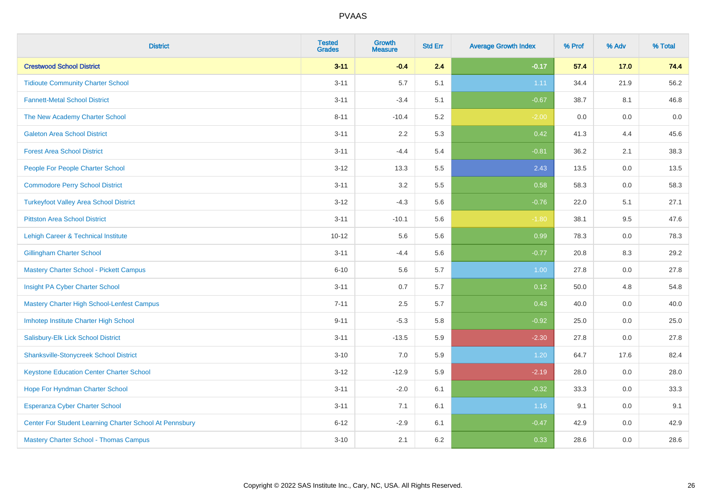| <b>District</b>                                         | <b>Tested</b><br><b>Grades</b> | <b>Growth</b><br><b>Measure</b> | <b>Std Err</b> | <b>Average Growth Index</b> | % Prof | % Adv   | % Total |
|---------------------------------------------------------|--------------------------------|---------------------------------|----------------|-----------------------------|--------|---------|---------|
| <b>Crestwood School District</b>                        | $3 - 11$                       | $-0.4$                          | 2.4            | $-0.17$                     | 57.4   | 17.0    | 74.4    |
| <b>Tidioute Community Charter School</b>                | $3 - 11$                       | 5.7                             | 5.1            | 1.11                        | 34.4   | 21.9    | 56.2    |
| <b>Fannett-Metal School District</b>                    | $3 - 11$                       | $-3.4$                          | 5.1            | $-0.67$                     | 38.7   | 8.1     | 46.8    |
| The New Academy Charter School                          | $8 - 11$                       | $-10.4$                         | 5.2            | $-2.00$                     | 0.0    | $0.0\,$ | $0.0\,$ |
| <b>Galeton Area School District</b>                     | $3 - 11$                       | 2.2                             | 5.3            | 0.42                        | 41.3   | 4.4     | 45.6    |
| <b>Forest Area School District</b>                      | $3 - 11$                       | $-4.4$                          | 5.4            | $-0.81$                     | 36.2   | 2.1     | 38.3    |
| People For People Charter School                        | $3 - 12$                       | 13.3                            | 5.5            | 2.43                        | 13.5   | 0.0     | 13.5    |
| <b>Commodore Perry School District</b>                  | $3 - 11$                       | 3.2                             | 5.5            | 0.58                        | 58.3   | 0.0     | 58.3    |
| <b>Turkeyfoot Valley Area School District</b>           | $3-12$                         | $-4.3$                          | 5.6            | $-0.76$                     | 22.0   | 5.1     | 27.1    |
| <b>Pittston Area School District</b>                    | $3 - 11$                       | $-10.1$                         | 5.6            | $-1.80$                     | 38.1   | 9.5     | 47.6    |
| Lehigh Career & Technical Institute                     | $10 - 12$                      | 5.6                             | 5.6            | 0.99                        | 78.3   | 0.0     | 78.3    |
| <b>Gillingham Charter School</b>                        | $3 - 11$                       | $-4.4$                          | 5.6            | $-0.77$                     | 20.8   | 8.3     | 29.2    |
| <b>Mastery Charter School - Pickett Campus</b>          | $6 - 10$                       | 5.6                             | 5.7            | 1.00                        | 27.8   | 0.0     | 27.8    |
| Insight PA Cyber Charter School                         | $3 - 11$                       | 0.7                             | 5.7            | 0.12                        | 50.0   | 4.8     | 54.8    |
| Mastery Charter High School-Lenfest Campus              | $7 - 11$                       | 2.5                             | 5.7            | 0.43                        | 40.0   | 0.0     | 40.0    |
| Imhotep Institute Charter High School                   | $9 - 11$                       | $-5.3$                          | 5.8            | $-0.92$                     | 25.0   | 0.0     | 25.0    |
| Salisbury-Elk Lick School District                      | $3 - 11$                       | $-13.5$                         | 5.9            | $-2.30$                     | 27.8   | 0.0     | 27.8    |
| <b>Shanksville-Stonycreek School District</b>           | $3 - 10$                       | 7.0                             | 5.9            | 1.20                        | 64.7   | 17.6    | 82.4    |
| <b>Keystone Education Center Charter School</b>         | $3 - 12$                       | $-12.9$                         | 5.9            | $-2.19$                     | 28.0   | 0.0     | 28.0    |
| Hope For Hyndman Charter School                         | $3 - 11$                       | $-2.0$                          | 6.1            | $-0.32$                     | 33.3   | 0.0     | 33.3    |
| Esperanza Cyber Charter School                          | $3 - 11$                       | 7.1                             | 6.1            | 1.16                        | 9.1    | 0.0     | 9.1     |
| Center For Student Learning Charter School At Pennsbury | $6 - 12$                       | $-2.9$                          | 6.1            | $-0.47$                     | 42.9   | 0.0     | 42.9    |
| <b>Mastery Charter School - Thomas Campus</b>           | $3 - 10$                       | 2.1                             | 6.2            | 0.33                        | 28.6   | 0.0     | 28.6    |